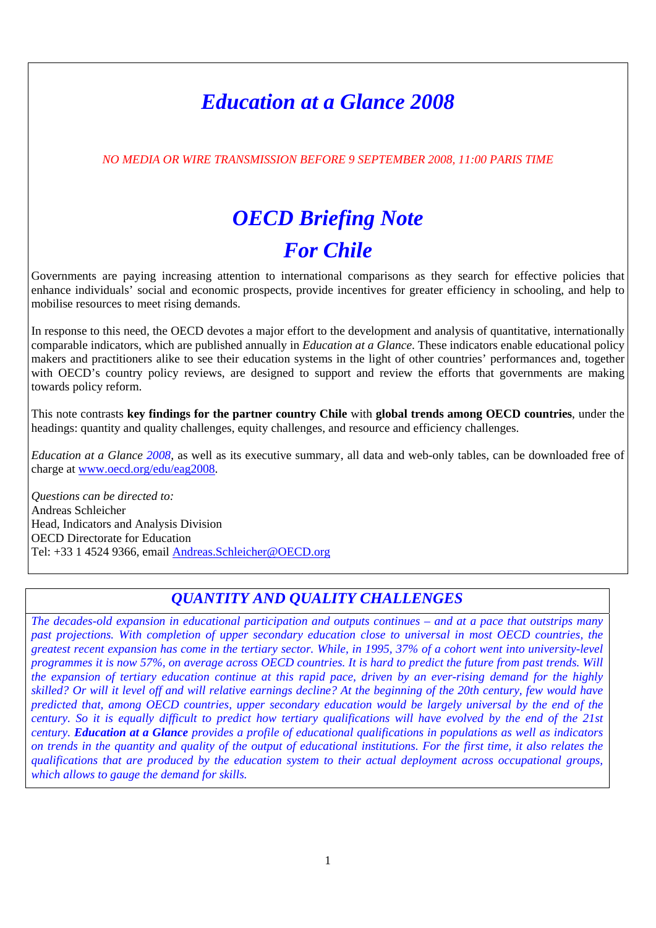## *Education at a Glance 2008*

*NO MEDIA OR WIRE TRANSMISSION BEFORE 9 SEPTEMBER 2008, 11:00 PARIS TIME* 

# *OECD Briefing Note For Chile*

Governments are paying increasing attention to international comparisons as they search for effective policies that enhance individuals' social and economic prospects, provide incentives for greater efficiency in schooling, and help to mobilise resources to meet rising demands.

In response to this need, the OECD devotes a major effort to the development and analysis of quantitative, internationally comparable indicators, which are published annually in *Education at a Glance*. These indicators enable educational policy makers and practitioners alike to see their education systems in the light of other countries' performances and, together with OECD's country policy reviews, are designed to support and review the efforts that governments are making towards policy reform.

This note contrasts **key findings for the partner country Chile** with **global trends among OECD countries**, under the headings: quantity and quality challenges, equity challenges, and resource and efficiency challenges.

*Education at a Glance 2008,* as well as its executive summary, all data and web-only tables, can be downloaded free of charge at [www.oecd.org/edu/eag2008](http://www.oecd.org/edu/eag2008).

*Questions can be directed to:*  Andreas Schleicher Head, Indicators and Analysis Division OECD Directorate for Education Tel: +33 1 4524 9366, email [Andreas.Schleicher@OECD.org](mailto:Andreas.Schleicher@OECD.org)

## *QUANTITY AND QUALITY CHALLENGES*

*The decades-old expansion in educational participation and outputs continues – and at a pace that outstrips many past projections. With completion of upper secondary education close to universal in most OECD countries, the greatest recent expansion has come in the tertiary sector. While, in 1995, 37% of a cohort went into university-level programmes it is now 57%, on average across OECD countries. It is hard to predict the future from past trends. Will the expansion of tertiary education continue at this rapid pace, driven by an ever-rising demand for the highly skilled? Or will it level off and will relative earnings decline? At the beginning of the 20th century, few would have predicted that, among OECD countries, upper secondary education would be largely universal by the end of the century. So it is equally difficult to predict how tertiary qualifications will have evolved by the end of the 21st century. Education at a Glance provides a profile of educational qualifications in populations as well as indicators on trends in the quantity and quality of the output of educational institutions. For the first time, it also relates the qualifications that are produced by the education system to their actual deployment across occupational groups, which allows to gauge the demand for skills.*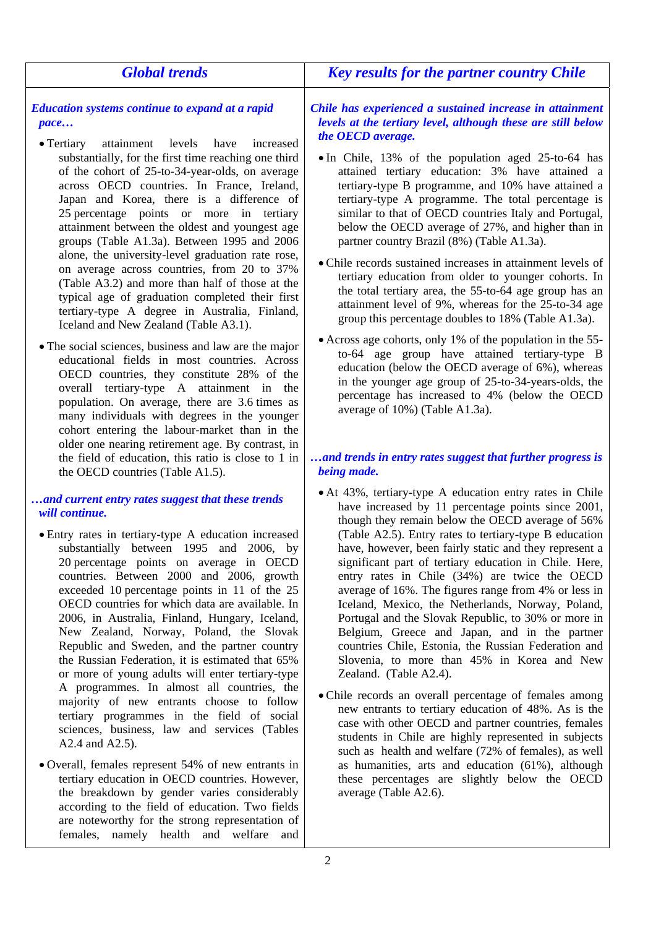| <b>Global trends</b>                                                                                                                                                                                                                                                                                                                                                                                                                                                                                                                                                                                                                                                                                                                                                                                                                                                                                                                                                                                                                                                                                                                    | <b>Key results for the partner country Chile</b>                                                                                                                                                                                                                                                                                                                                                                                                                                                                                                                                                                                                                                                                                                                                                                                                                                                                                                                                                                                                                                                                                                |
|-----------------------------------------------------------------------------------------------------------------------------------------------------------------------------------------------------------------------------------------------------------------------------------------------------------------------------------------------------------------------------------------------------------------------------------------------------------------------------------------------------------------------------------------------------------------------------------------------------------------------------------------------------------------------------------------------------------------------------------------------------------------------------------------------------------------------------------------------------------------------------------------------------------------------------------------------------------------------------------------------------------------------------------------------------------------------------------------------------------------------------------------|-------------------------------------------------------------------------------------------------------------------------------------------------------------------------------------------------------------------------------------------------------------------------------------------------------------------------------------------------------------------------------------------------------------------------------------------------------------------------------------------------------------------------------------------------------------------------------------------------------------------------------------------------------------------------------------------------------------------------------------------------------------------------------------------------------------------------------------------------------------------------------------------------------------------------------------------------------------------------------------------------------------------------------------------------------------------------------------------------------------------------------------------------|
| <b>Education systems continue to expand at a rapid</b><br>pace<br>• Tertiary<br>attainment<br>levels<br>have<br>increased<br>substantially, for the first time reaching one third<br>of the cohort of 25-to-34-year-olds, on average<br>across OECD countries. In France, Ireland,<br>Japan and Korea, there is a difference of<br>25 percentage points or more in tertiary<br>attainment between the oldest and youngest age<br>groups (Table A1.3a). Between 1995 and 2006<br>alone, the university-level graduation rate rose,<br>on average across countries, from 20 to 37%<br>(Table A3.2) and more than half of those at the<br>typical age of graduation completed their first<br>tertiary-type A degree in Australia, Finland,<br>Iceland and New Zealand (Table A3.1).<br>• The social sciences, business and law are the major<br>educational fields in most countries. Across<br>OECD countries, they constitute 28% of the<br>overall tertiary-type A attainment in the<br>population. On average, there are 3.6 times as<br>many individuals with degrees in the younger<br>cohort entering the labour-market than in the | Chile has experienced a sustained increase in attainment<br>levels at the tertiary level, although these are still below<br>the OECD average.<br>• In Chile, 13% of the population aged 25-to-64 has<br>attained tertiary education: 3% have attained a<br>tertiary-type B programme, and 10% have attained a<br>tertiary-type A programme. The total percentage is<br>similar to that of OECD countries Italy and Portugal,<br>below the OECD average of 27%, and higher than in<br>partner country Brazil (8%) (Table A1.3a).<br>• Chile records sustained increases in attainment levels of<br>tertiary education from older to younger cohorts. In<br>the total tertiary area, the 55-to-64 age group has an<br>attainment level of 9%, whereas for the 25-to-34 age<br>group this percentage doubles to 18% (Table A1.3a).<br>• Across age cohorts, only 1% of the population in the 55-<br>to-64 age group have attained tertiary-type B<br>education (below the OECD average of 6%), whereas<br>in the younger age group of 25-to-34-years-olds, the<br>percentage has increased to 4% (below the OECD<br>average of 10%) (Table A1.3a). |
| older one nearing retirement age. By contrast, in<br>the field of education, this ratio is close to 1 in<br>the OECD countries (Table A1.5).                                                                                                                                                                                                                                                                                                                                                                                                                                                                                                                                                                                                                                                                                                                                                                                                                                                                                                                                                                                            | and trends in entry rates suggest that further progress is<br>being made.                                                                                                                                                                                                                                                                                                                                                                                                                                                                                                                                                                                                                                                                                                                                                                                                                                                                                                                                                                                                                                                                       |
| and current entry rates suggest that these trends<br>will continue.<br>• Entry rates in tertiary-type A education increased<br>substantially between 1995 and 2006, by<br>20 percentage points on average in OECD<br>countries. Between 2000 and 2006, growth<br>exceeded 10 percentage points in 11 of the 25<br>OECD countries for which data are available. In<br>2006, in Australia, Finland, Hungary, Iceland,<br>New Zealand, Norway, Poland, the Slovak<br>Republic and Sweden, and the partner country<br>the Russian Federation, it is estimated that 65%<br>or more of young adults will enter tertiary-type<br>A programmes. In almost all countries, the<br>majority of new entrants choose to follow<br>tertiary programmes in the field of social<br>sciences, business, law and services (Tables<br>A2.4 and A2.5).                                                                                                                                                                                                                                                                                                      | • At 43%, tertiary-type A education entry rates in Chile<br>have increased by 11 percentage points since 2001,<br>though they remain below the OECD average of 56%<br>(Table A2.5). Entry rates to tertiary-type B education<br>have, however, been fairly static and they represent a<br>significant part of tertiary education in Chile. Here,<br>entry rates in Chile (34%) are twice the OECD<br>average of 16%. The figures range from 4% or less in<br>Iceland, Mexico, the Netherlands, Norway, Poland,<br>Portugal and the Slovak Republic, to 30% or more in<br>Belgium, Greece and Japan, and in the partner<br>countries Chile, Estonia, the Russian Federation and<br>Slovenia, to more than 45% in Korea and New<br>Zealand. (Table A2.4).<br>• Chile records an overall percentage of females among<br>new entrants to tertiary education of 48%. As is the<br>case with other OECD and partner countries, females<br>students in Chile are highly represented in subjects<br>such as health and welfare (72% of females), as well                                                                                                |
| • Overall, females represent 54% of new entrants in<br>tertiary education in OECD countries. However,<br>the breakdown by gender varies considerably                                                                                                                                                                                                                                                                                                                                                                                                                                                                                                                                                                                                                                                                                                                                                                                                                                                                                                                                                                                    | as humanities, arts and education (61%), although<br>these percentages are slightly below the OECD<br>average (Table A2.6).                                                                                                                                                                                                                                                                                                                                                                                                                                                                                                                                                                                                                                                                                                                                                                                                                                                                                                                                                                                                                     |

according to the field of education. Two fields are noteworthy for the strong representation of females, namely health and welfare and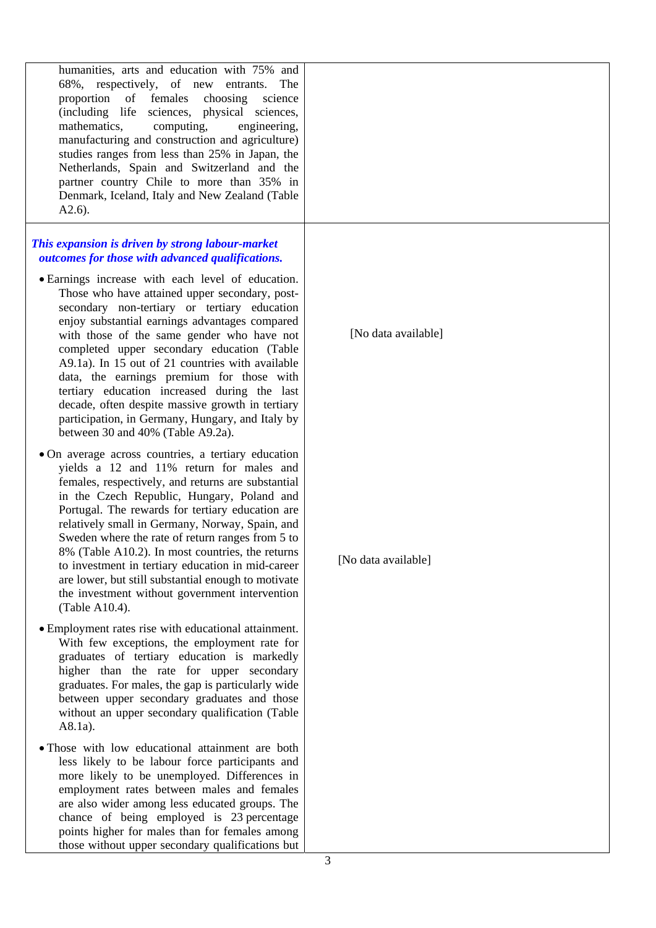| humanities, arts and education with 75% and<br>68%, respectively, of new entrants.<br>The<br>proportion of females<br>choosing<br>science<br>(including life sciences, physical sciences,<br>mathematics,<br>computing,<br>engineering,<br>manufacturing and construction and agriculture)<br>studies ranges from less than 25% in Japan, the<br>Netherlands, Spain and Switzerland and the<br>partner country Chile to more than 35% in<br>Denmark, Iceland, Italy and New Zealand (Table<br>$A2.6$ ).                                                                                         |                     |
|-------------------------------------------------------------------------------------------------------------------------------------------------------------------------------------------------------------------------------------------------------------------------------------------------------------------------------------------------------------------------------------------------------------------------------------------------------------------------------------------------------------------------------------------------------------------------------------------------|---------------------|
| This expansion is driven by strong labour-market<br>outcomes for those with advanced qualifications.                                                                                                                                                                                                                                                                                                                                                                                                                                                                                            |                     |
| · Earnings increase with each level of education.<br>Those who have attained upper secondary, post-<br>secondary non-tertiary or tertiary education<br>enjoy substantial earnings advantages compared<br>with those of the same gender who have not<br>completed upper secondary education (Table<br>A9.1a). In 15 out of 21 countries with available<br>data, the earnings premium for those with<br>tertiary education increased during the last<br>decade, often despite massive growth in tertiary<br>participation, in Germany, Hungary, and Italy by<br>between 30 and 40% (Table A9.2a). | [No data available] |
| • On average across countries, a tertiary education<br>yields a 12 and 11% return for males and                                                                                                                                                                                                                                                                                                                                                                                                                                                                                                 |                     |
| females, respectively, and returns are substantial<br>in the Czech Republic, Hungary, Poland and<br>Portugal. The rewards for tertiary education are<br>relatively small in Germany, Norway, Spain, and<br>Sweden where the rate of return ranges from 5 to<br>8% (Table A10.2). In most countries, the returns<br>to investment in tertiary education in mid-career<br>are lower, but still substantial enough to motivate<br>the investment without government intervention<br>(Table A10.4).                                                                                                 | [No data available] |
| • Employment rates rise with educational attainment.<br>With few exceptions, the employment rate for<br>graduates of tertiary education is markedly<br>higher than the rate for upper secondary<br>graduates. For males, the gap is particularly wide<br>between upper secondary graduates and those<br>without an upper secondary qualification (Table<br>A8.1a).                                                                                                                                                                                                                              |                     |
| • Those with low educational attainment are both<br>less likely to be labour force participants and<br>more likely to be unemployed. Differences in<br>employment rates between males and females                                                                                                                                                                                                                                                                                                                                                                                               |                     |

are also wider among less educated groups. The chance of being employed is 23 percentage points higher for males than for females among those without upper secondary qualifications but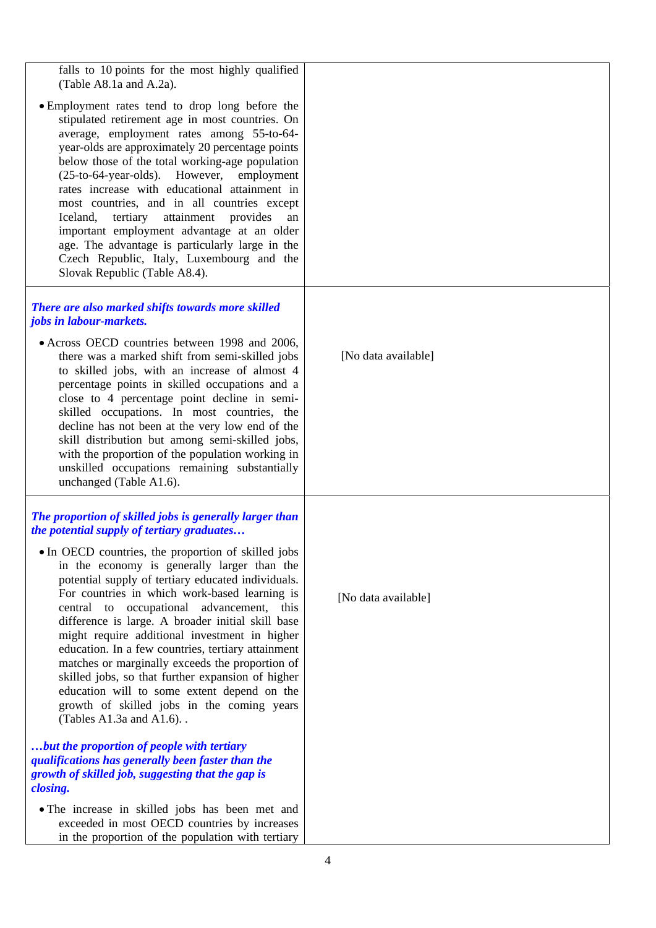| falls to 10 points for the most highly qualified<br>(Table A8.1a and A.2a).                                                                                                                                                                                                                                                                                                                                                                                                                                                                                                                                                                              |                     |
|----------------------------------------------------------------------------------------------------------------------------------------------------------------------------------------------------------------------------------------------------------------------------------------------------------------------------------------------------------------------------------------------------------------------------------------------------------------------------------------------------------------------------------------------------------------------------------------------------------------------------------------------------------|---------------------|
| • Employment rates tend to drop long before the<br>stipulated retirement age in most countries. On<br>average, employment rates among 55-to-64-<br>year-olds are approximately 20 percentage points<br>below those of the total working-age population<br>(25-to-64-year-olds). However, employment<br>rates increase with educational attainment in<br>most countries, and in all countries except<br>tertiary<br>attainment provides<br>Iceland,<br>an<br>important employment advantage at an older<br>age. The advantage is particularly large in the<br>Czech Republic, Italy, Luxembourg and the<br>Slovak Republic (Table A8.4).                  |                     |
| There are also marked shifts towards more skilled<br>jobs in labour-markets.                                                                                                                                                                                                                                                                                                                                                                                                                                                                                                                                                                             |                     |
| • Across OECD countries between 1998 and 2006,<br>there was a marked shift from semi-skilled jobs<br>to skilled jobs, with an increase of almost 4<br>percentage points in skilled occupations and a<br>close to 4 percentage point decline in semi-<br>skilled occupations. In most countries, the<br>decline has not been at the very low end of the<br>skill distribution but among semi-skilled jobs,<br>with the proportion of the population working in<br>unskilled occupations remaining substantially<br>unchanged (Table A1.6).                                                                                                                | [No data available] |
| The proportion of skilled jobs is generally larger than<br>the potential supply of tertiary graduates                                                                                                                                                                                                                                                                                                                                                                                                                                                                                                                                                    |                     |
| • In OECD countries, the proportion of skilled jobs<br>in the economy is generally larger than the<br>potential supply of tertiary educated individuals.<br>For countries in which work-based learning is<br>central to occupational advancement,<br>this<br>difference is large. A broader initial skill base<br>might require additional investment in higher<br>education. In a few countries, tertiary attainment<br>matches or marginally exceeds the proportion of<br>skilled jobs, so that further expansion of higher<br>education will to some extent depend on the<br>growth of skilled jobs in the coming years<br>(Tables A1.3a and A1.6). . | [No data available] |
| but the proportion of people with tertiary<br>qualifications has generally been faster than the<br>growth of skilled job, suggesting that the gap is<br>closing.                                                                                                                                                                                                                                                                                                                                                                                                                                                                                         |                     |
| • The increase in skilled jobs has been met and<br>exceeded in most OECD countries by increases<br>in the proportion of the population with tertiary                                                                                                                                                                                                                                                                                                                                                                                                                                                                                                     |                     |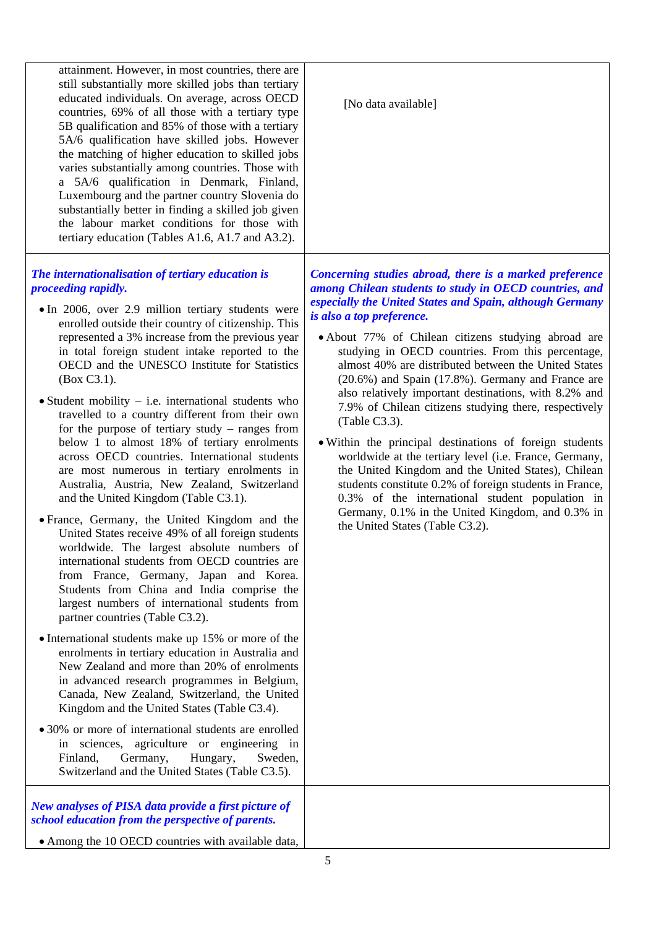| attainment. However, in most countries, there are<br>still substantially more skilled jobs than tertiary<br>educated individuals. On average, across OECD<br>countries, 69% of all those with a tertiary type<br>5B qualification and 85% of those with a tertiary<br>5A/6 qualification have skilled jobs. However<br>the matching of higher education to skilled jobs<br>varies substantially among countries. Those with<br>a 5A/6 qualification in Denmark, Finland,<br>Luxembourg and the partner country Slovenia do<br>substantially better in finding a skilled job given<br>the labour market conditions for those with<br>tertiary education (Tables A1.6, A1.7 and A3.2).                                                                                                                                                                                                                                                                                                                                                                                                                                                                                                                                                                                                                                                                                                                                                                                                                                                                                                                                                                                            | [No data available]                                                                                                                                                                                                                                                                                                                                                                                                                                                                                                                                                                                                                                                                                                                                                                                                                                                                                                                                    |
|---------------------------------------------------------------------------------------------------------------------------------------------------------------------------------------------------------------------------------------------------------------------------------------------------------------------------------------------------------------------------------------------------------------------------------------------------------------------------------------------------------------------------------------------------------------------------------------------------------------------------------------------------------------------------------------------------------------------------------------------------------------------------------------------------------------------------------------------------------------------------------------------------------------------------------------------------------------------------------------------------------------------------------------------------------------------------------------------------------------------------------------------------------------------------------------------------------------------------------------------------------------------------------------------------------------------------------------------------------------------------------------------------------------------------------------------------------------------------------------------------------------------------------------------------------------------------------------------------------------------------------------------------------------------------------|--------------------------------------------------------------------------------------------------------------------------------------------------------------------------------------------------------------------------------------------------------------------------------------------------------------------------------------------------------------------------------------------------------------------------------------------------------------------------------------------------------------------------------------------------------------------------------------------------------------------------------------------------------------------------------------------------------------------------------------------------------------------------------------------------------------------------------------------------------------------------------------------------------------------------------------------------------|
| The internationalisation of tertiary education is<br>proceeding rapidly.<br>• In 2006, over 2.9 million tertiary students were<br>enrolled outside their country of citizenship. This<br>represented a 3% increase from the previous year<br>in total foreign student intake reported to the<br>OECD and the UNESCO Institute for Statistics<br>(Box C3.1).<br>$\bullet$ Student mobility – i.e. international students who<br>travelled to a country different from their own<br>for the purpose of tertiary study $-$ ranges from<br>below 1 to almost 18% of tertiary enrolments<br>across OECD countries. International students<br>are most numerous in tertiary enrolments in<br>Australia, Austria, New Zealand, Switzerland<br>and the United Kingdom (Table C3.1).<br>• France, Germany, the United Kingdom and the<br>United States receive 49% of all foreign students<br>worldwide. The largest absolute numbers of<br>international students from OECD countries are<br>from France, Germany, Japan and Korea.<br>Students from China and India comprise the<br>largest numbers of international students from<br>partner countries (Table C3.2).<br>• International students make up 15% or more of the<br>enrolments in tertiary education in Australia and<br>New Zealand and more than 20% of enrolments<br>in advanced research programmes in Belgium,<br>Canada, New Zealand, Switzerland, the United<br>Kingdom and the United States (Table C3.4).<br>• 30% or more of international students are enrolled<br>in sciences, agriculture or engineering in<br>Finland,<br>Germany,<br>Hungary,<br>Sweden,<br>Switzerland and the United States (Table C3.5). | Concerning studies abroad, there is a marked preference<br>among Chilean students to study in OECD countries, and<br>especially the United States and Spain, although Germany<br>is also a top preference.<br>• About 77% of Chilean citizens studying abroad are<br>studying in OECD countries. From this percentage,<br>almost 40% are distributed between the United States<br>(20.6%) and Spain (17.8%). Germany and France are<br>also relatively important destinations, with 8.2% and<br>7.9% of Chilean citizens studying there, respectively<br>(Table C3.3).<br>• Within the principal destinations of foreign students<br>worldwide at the tertiary level (i.e. France, Germany,<br>the United Kingdom and the United States), Chilean<br>students constitute 0.2% of foreign students in France,<br>0.3% of the international student population in<br>Germany, 0.1% in the United Kingdom, and 0.3% in<br>the United States (Table C3.2). |
| New analyses of PISA data provide a first picture of<br>school education from the perspective of parents.<br>• Among the 10 OECD countries with available data,                                                                                                                                                                                                                                                                                                                                                                                                                                                                                                                                                                                                                                                                                                                                                                                                                                                                                                                                                                                                                                                                                                                                                                                                                                                                                                                                                                                                                                                                                                                 |                                                                                                                                                                                                                                                                                                                                                                                                                                                                                                                                                                                                                                                                                                                                                                                                                                                                                                                                                        |
|                                                                                                                                                                                                                                                                                                                                                                                                                                                                                                                                                                                                                                                                                                                                                                                                                                                                                                                                                                                                                                                                                                                                                                                                                                                                                                                                                                                                                                                                                                                                                                                                                                                                                 | 5                                                                                                                                                                                                                                                                                                                                                                                                                                                                                                                                                                                                                                                                                                                                                                                                                                                                                                                                                      |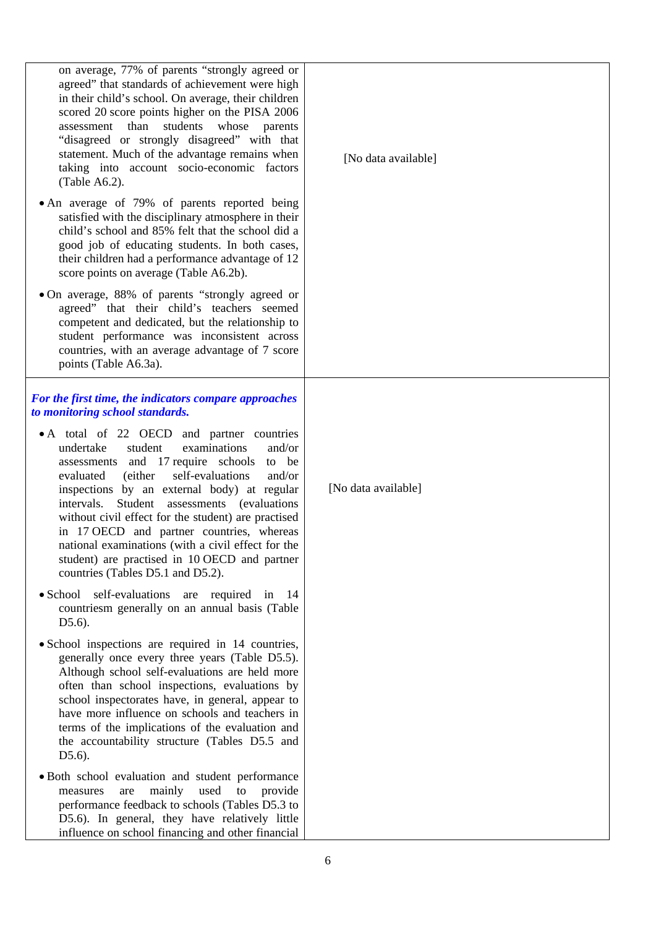| on average, 77% of parents "strongly agreed or<br>agreed" that standards of achievement were high<br>in their child's school. On average, their children<br>scored 20 score points higher on the PISA 2006<br>than<br>students<br>whose<br>assessment<br>parents<br>"disagreed or strongly disagreed" with that<br>statement. Much of the advantage remains when<br>taking into account socio-economic factors<br>(Table $A6.2$ ).<br>• An average of 79% of parents reported being<br>satisfied with the disciplinary atmosphere in their<br>child's school and 85% felt that the school did a<br>good job of educating students. In both cases,<br>their children had a performance advantage of 12<br>score points on average (Table A6.2b).<br>• On average, 88% of parents "strongly agreed or<br>agreed" that their child's teachers seemed<br>competent and dedicated, but the relationship to | [No data available] |
|-------------------------------------------------------------------------------------------------------------------------------------------------------------------------------------------------------------------------------------------------------------------------------------------------------------------------------------------------------------------------------------------------------------------------------------------------------------------------------------------------------------------------------------------------------------------------------------------------------------------------------------------------------------------------------------------------------------------------------------------------------------------------------------------------------------------------------------------------------------------------------------------------------|---------------------|
| student performance was inconsistent across<br>countries, with an average advantage of 7 score<br>points (Table A6.3a).                                                                                                                                                                                                                                                                                                                                                                                                                                                                                                                                                                                                                                                                                                                                                                               |                     |
| For the first time, the indicators compare approaches<br>to monitoring school standards.<br>• A total of 22 OECD and partner countries<br>student<br>examinations<br>undertake<br>and/or<br>assessments and 17 require schools<br>to be<br>(either)<br>self-evaluations<br>and/or<br>evaluated<br>inspections by an external body) at regular<br>Student<br>intervals.<br>assessments (evaluations)<br>without civil effect for the student) are practised<br>in 17 OECD and partner countries, whereas<br>national examinations (with a civil effect for the<br>student) are practised in 10 OECD and partner<br>countries (Tables D5.1 and D5.2).<br>• School self-evaluations are required in 14<br>countriesm generally on an annual basis (Table<br>$D5.6$ ).                                                                                                                                    | [No data available] |
| • School inspections are required in 14 countries,<br>generally once every three years (Table D5.5).<br>Although school self-evaluations are held more<br>often than school inspections, evaluations by<br>school inspectorates have, in general, appear to<br>have more influence on schools and teachers in<br>terms of the implications of the evaluation and<br>the accountability structure (Tables D5.5 and<br>$D5.6$ ).                                                                                                                                                                                                                                                                                                                                                                                                                                                                        |                     |
| • Both school evaluation and student performance<br>mainly<br>used<br>to<br>provide<br>measures<br>are<br>performance feedback to schools (Tables D5.3 to<br>D5.6). In general, they have relatively little<br>influence on school financing and other financial                                                                                                                                                                                                                                                                                                                                                                                                                                                                                                                                                                                                                                      |                     |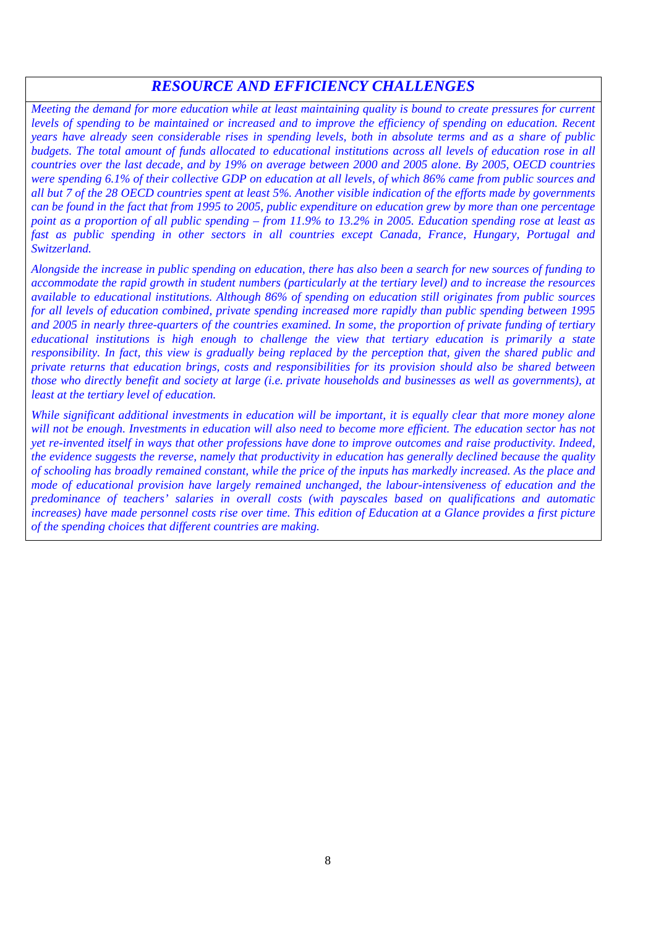### *RESOURCE AND EFFICIENCY CHALLENGES*

*Meeting the demand for more education while at least maintaining quality is bound to create pressures for current levels of spending to be maintained or increased and to improve the efficiency of spending on education. Recent years have already seen considerable rises in spending levels, both in absolute terms and as a share of public budgets. The total amount of funds allocated to educational institutions across all levels of education rose in all countries over the last decade, and by 19% on average between 2000 and 2005 alone. By 2005, OECD countries were spending 6.1% of their collective GDP on education at all levels, of which 86% came from public sources and all but 7 of the 28 OECD countries spent at least 5%. Another visible indication of the efforts made by governments can be found in the fact that from 1995 to 2005, public expenditure on education grew by more than one percentage point as a proportion of all public spending – from 11.9% to 13.2% in 2005. Education spending rose at least as fast as public spending in other sectors in all countries except Canada, France, Hungary, Portugal and Switzerland.* 

*Alongside the increase in public spending on education, there has also been a search for new sources of funding to accommodate the rapid growth in student numbers (particularly at the tertiary level) and to increase the resources available to educational institutions. Although 86% of spending on education still originates from public sources for all levels of education combined, private spending increased more rapidly than public spending between 1995 and 2005 in nearly three-quarters of the countries examined. In some, the proportion of private funding of tertiary educational institutions is high enough to challenge the view that tertiary education is primarily a state responsibility. In fact, this view is gradually being replaced by the perception that, given the shared public and private returns that education brings, costs and responsibilities for its provision should also be shared between those who directly benefit and society at large (i.e. private households and businesses as well as governments), at least at the tertiary level of education.* 

*While significant additional investments in education will be important, it is equally clear that more money alone*  will not be enough. Investments in education will also need to become more efficient. The education sector has not *yet re-invented itself in ways that other professions have done to improve outcomes and raise productivity. Indeed, the evidence suggests the reverse, namely that productivity in education has generally declined because the quality of schooling has broadly remained constant, while the price of the inputs has markedly increased. As the place and mode of educational provision have largely remained unchanged, the labour-intensiveness of education and the predominance of teachers' salaries in overall costs (with payscales based on qualifications and automatic increases*) have made personnel costs rise over time. This edition of Education at a Glance provides a first picture *of the spending choices that different countries are making.*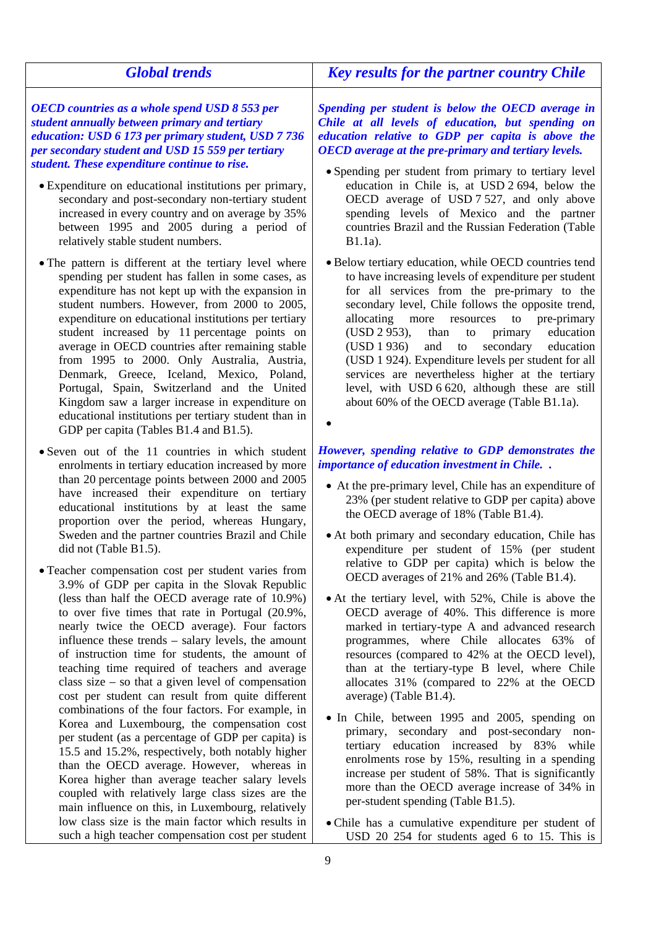| <b>Global trends</b>                                                                                                                                                                                                                                                                                                                                                                                                                                                                                                                                                                                                                                                                                                                                                                                                                                                                                                                                                                                                                                                                                                                                                                                                                                                                                                                                                                                                                                                | <b>Key results for the partner country Chile</b>                                                                                                                                                                                                                                                                                                                                                                                                                                                                                                                                                                                                                                                                                                                                                                                                                                                                                                                                                                                                                                                                                                                                                                                                                                                            |
|---------------------------------------------------------------------------------------------------------------------------------------------------------------------------------------------------------------------------------------------------------------------------------------------------------------------------------------------------------------------------------------------------------------------------------------------------------------------------------------------------------------------------------------------------------------------------------------------------------------------------------------------------------------------------------------------------------------------------------------------------------------------------------------------------------------------------------------------------------------------------------------------------------------------------------------------------------------------------------------------------------------------------------------------------------------------------------------------------------------------------------------------------------------------------------------------------------------------------------------------------------------------------------------------------------------------------------------------------------------------------------------------------------------------------------------------------------------------|-------------------------------------------------------------------------------------------------------------------------------------------------------------------------------------------------------------------------------------------------------------------------------------------------------------------------------------------------------------------------------------------------------------------------------------------------------------------------------------------------------------------------------------------------------------------------------------------------------------------------------------------------------------------------------------------------------------------------------------------------------------------------------------------------------------------------------------------------------------------------------------------------------------------------------------------------------------------------------------------------------------------------------------------------------------------------------------------------------------------------------------------------------------------------------------------------------------------------------------------------------------------------------------------------------------|
| <b>OECD</b> countries as a whole spend USD 8 553 per<br>student annually between primary and tertiary<br>education: USD 6 173 per primary student, USD 7 736<br>per secondary student and USD 15 559 per tertiary<br>student. These expenditure continue to rise.                                                                                                                                                                                                                                                                                                                                                                                                                                                                                                                                                                                                                                                                                                                                                                                                                                                                                                                                                                                                                                                                                                                                                                                                   | Spending per student is below the OECD average in<br>Chile at all levels of education, but spending on<br>education relative to GDP per capita is above the<br><b>OECD</b> average at the pre-primary and tertiary levels.                                                                                                                                                                                                                                                                                                                                                                                                                                                                                                                                                                                                                                                                                                                                                                                                                                                                                                                                                                                                                                                                                  |
| • Expenditure on educational institutions per primary,<br>secondary and post-secondary non-tertiary student<br>increased in every country and on average by 35%<br>between 1995 and 2005 during a period of<br>relatively stable student numbers.                                                                                                                                                                                                                                                                                                                                                                                                                                                                                                                                                                                                                                                                                                                                                                                                                                                                                                                                                                                                                                                                                                                                                                                                                   | • Spending per student from primary to tertiary level<br>education in Chile is, at USD 2 694, below the<br>OECD average of USD 7 527, and only above<br>spending levels of Mexico and the partner<br>countries Brazil and the Russian Federation (Table<br>$B1.1a$ ).                                                                                                                                                                                                                                                                                                                                                                                                                                                                                                                                                                                                                                                                                                                                                                                                                                                                                                                                                                                                                                       |
| • The pattern is different at the tertiary level where<br>spending per student has fallen in some cases, as<br>expenditure has not kept up with the expansion in<br>student numbers. However, from 2000 to 2005,<br>expenditure on educational institutions per tertiary<br>student increased by 11 percentage points on<br>average in OECD countries after remaining stable<br>from 1995 to 2000. Only Australia, Austria,<br>Denmark, Greece, Iceland, Mexico, Poland,<br>Portugal, Spain, Switzerland and the United<br>Kingdom saw a larger increase in expenditure on<br>educational institutions per tertiary student than in<br>GDP per capita (Tables B1.4 and B1.5).                                                                                                                                                                                                                                                                                                                                                                                                                                                                                                                                                                                                                                                                                                                                                                                       | • Below tertiary education, while OECD countries tend<br>to have increasing levels of expenditure per student<br>for all services from the pre-primary to the<br>secondary level, Chile follows the opposite trend,<br>allocating more resources<br>to<br>pre-primary<br>(USD 2 953),<br>than<br>primary<br>education<br>to<br>(USD 1936)<br>and<br>secondary<br>to<br>education<br>(USD 1 924). Expenditure levels per student for all<br>services are nevertheless higher at the tertiary<br>level, with USD 6 620, although these are still<br>about 60% of the OECD average (Table B1.1a).                                                                                                                                                                                                                                                                                                                                                                                                                                                                                                                                                                                                                                                                                                              |
| • Seven out of the 11 countries in which student<br>enrolments in tertiary education increased by more<br>than 20 percentage points between 2000 and 2005<br>have increased their expenditure on tertiary<br>educational institutions by at least the same<br>proportion over the period, whereas Hungary,<br>Sweden and the partner countries Brazil and Chile<br>did not (Table B1.5).<br>• Teacher compensation cost per student varies from<br>3.9% of GDP per capita in the Slovak Republic<br>(less than half the OECD average rate of 10.9%)<br>to over five times that rate in Portugal (20.9%,<br>nearly twice the OECD average). Four factors<br>influence these trends – salary levels, the amount<br>of instruction time for students, the amount of<br>teaching time required of teachers and average<br>class size $-$ so that a given level of compensation<br>cost per student can result from quite different<br>combinations of the four factors. For example, in<br>Korea and Luxembourg, the compensation cost<br>per student (as a percentage of GDP per capita) is<br>15.5 and 15.2%, respectively, both notably higher<br>than the OECD average. However, whereas in<br>Korea higher than average teacher salary levels<br>coupled with relatively large class sizes are the<br>main influence on this, in Luxembourg, relatively<br>low class size is the main factor which results in<br>such a high teacher compensation cost per student | However, spending relative to GDP demonstrates the<br>importance of education investment in Chile<br>• At the pre-primary level, Chile has an expenditure of<br>23% (per student relative to GDP per capita) above<br>the OECD average of 18% (Table B1.4).<br>• At both primary and secondary education, Chile has<br>expenditure per student of 15% (per student<br>relative to GDP per capita) which is below the<br>OECD averages of 21% and 26% (Table B1.4).<br>• At the tertiary level, with 52%, Chile is above the<br>OECD average of 40%. This difference is more<br>marked in tertiary-type A and advanced research<br>programmes, where Chile allocates 63% of<br>resources (compared to 42% at the OECD level),<br>than at the tertiary-type B level, where Chile<br>allocates 31% (compared to 22% at the OECD<br>average) (Table B1.4).<br>• In Chile, between 1995 and 2005, spending on<br>primary, secondary and post-secondary non-<br>tertiary education increased by 83% while<br>enrolments rose by 15%, resulting in a spending<br>increase per student of 58%. That is significantly<br>more than the OECD average increase of 34% in<br>per-student spending (Table B1.5).<br>• Chile has a cumulative expenditure per student of<br>USD 20 254 for students aged 6 to 15. This is |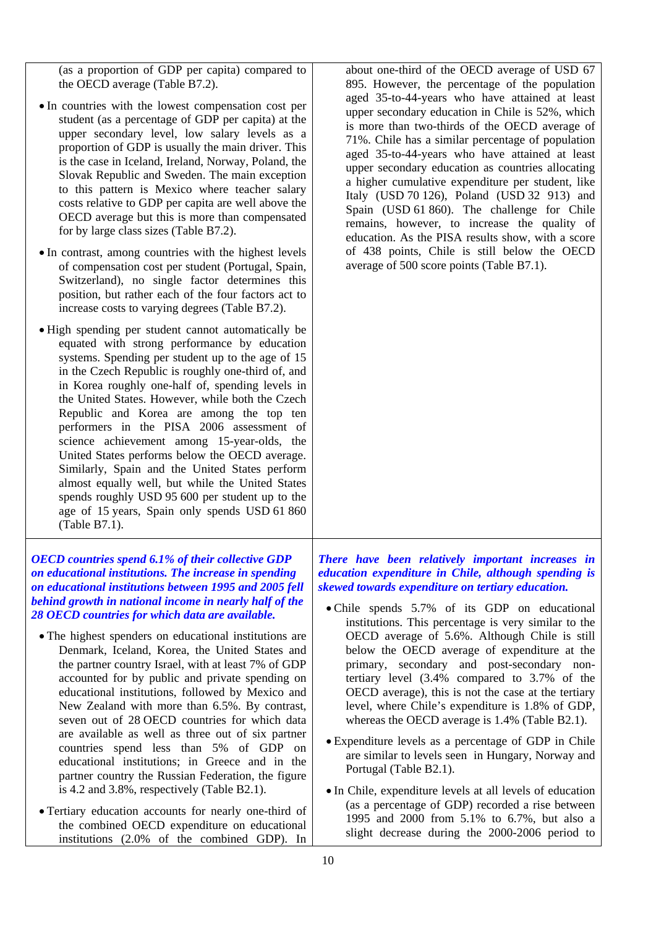(as a proportion of GDP per capita) compared to the OECD average (Table B7.2).

- In countries with the lowest compensation cost per student (as a percentage of GDP per capita) at the upper secondary level, low salary levels as a proportion of GDP is usually the main driver. This is the case in Iceland, Ireland, Norway, Poland, the Slovak Republic and Sweden. The main exception to this pattern is Mexico where teacher salary costs relative to GDP per capita are well above the OECD average but this is more than compensated for by large class sizes (Table B7.2).
- In contrast, among countries with the highest levels of compensation cost per student (Portugal, Spain, Switzerland), no single factor determines this position, but rather each of the four factors act to increase costs to varying degrees (Table B7.2).
- High spending per student cannot automatically be equated with strong performance by education systems. Spending per student up to the age of 15 in the Czech Republic is roughly one-third of, and in Korea roughly one-half of, spending levels in the United States. However, while both the Czech Republic and Korea are among the top ten performers in the PISA 2006 assessment of science achievement among 15-year-olds, the United States performs below the OECD average. Similarly, Spain and the United States perform almost equally well, but while the United States spends roughly USD 95 600 per student up to the age of 15 years, Spain only spends USD 61 860 (Table B7.1).

#### *OECD countries spend 6.1% of their collective GDP on educational institutions. The increase in spending on educational institutions between 1995 and 2005 fell behind growth in national income in nearly half of the 28 OECD countries for which data are available.*

- The highest spenders on educational institutions are Denmark, Iceland, Korea, the United States and the partner country Israel, with at least 7% of GDP accounted for by public and private spending on educational institutions, followed by Mexico and New Zealand with more than 6.5%. By contrast, seven out of 28 OECD countries for which data are available as well as three out of six partner countries spend less than 5% of GDP on educational institutions; in Greece and in the partner country the Russian Federation, the figure is 4.2 and 3.8%, respectively (Table B2.1).
- Tertiary education accounts for nearly one-third of the combined OECD expenditure on educational institutions (2.0% of the combined GDP). In

about one-third of the OECD average of USD 67 895. However, the percentage of the population aged 35-to-44-years who have attained at least upper secondary education in Chile is 52%, which is more than two-thirds of the OECD average of 71%. Chile has a similar percentage of population aged 35-to-44-years who have attained at least upper secondary education as countries allocating a higher cumulative expenditure per student, like Italy (USD 70 126), Poland (USD 32 913) and Spain (USD 61 860). The challenge for Chile remains, however, to increase the quality of education. As the PISA results show, with a score of 438 points, Chile is still below the OECD average of 500 score points (Table B7.1).

*There have been relatively important increases in education expenditure in Chile, although spending is skewed towards expenditure on tertiary education.* 

- Chile spends 5.7% of its GDP on educational institutions. This percentage is very similar to the OECD average of 5.6%. Although Chile is still below the OECD average of expenditure at the primary, secondary and post-secondary nontertiary level (3.4% compared to 3.7% of the OECD average), this is not the case at the tertiary level, where Chile's expenditure is 1.8% of GDP, whereas the OECD average is 1.4% (Table B2.1).
- Expenditure levels as a percentage of GDP in Chile are similar to levels seen in Hungary, Norway and Portugal (Table B2.1).
- In Chile, expenditure levels at all levels of education (as a percentage of GDP) recorded a rise between 1995 and 2000 from 5.1% to 6.7%, but also a slight decrease during the 2000-2006 period to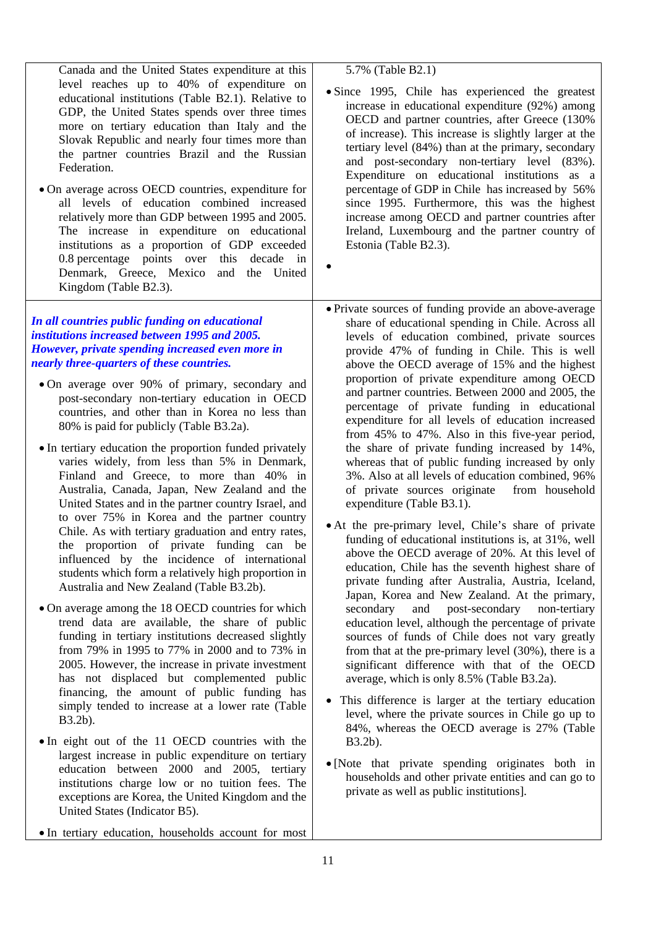| Canada and the United States expenditure at this                                                                                                                                                                                                                                                                                                                                                                                                                                                                                                                                                                                                                                                                                                                                                                                                                                                                                                                                                                                                                                                                                                                                                                                                                                                                                                                                                                                                                                                                                                                                                                                                                                                                                                              | 5.7% (Table B2.1)                                                                                                                                                                                                                                                                                                                                                                                                                                                                                                                                                                                                                                                                                                                                                                                                                                                                                                                                                                                                                                                                                                                                                                                                                                                                                                                                                                                                                                                                                                                                                                                                                                                                                                                                         |
|---------------------------------------------------------------------------------------------------------------------------------------------------------------------------------------------------------------------------------------------------------------------------------------------------------------------------------------------------------------------------------------------------------------------------------------------------------------------------------------------------------------------------------------------------------------------------------------------------------------------------------------------------------------------------------------------------------------------------------------------------------------------------------------------------------------------------------------------------------------------------------------------------------------------------------------------------------------------------------------------------------------------------------------------------------------------------------------------------------------------------------------------------------------------------------------------------------------------------------------------------------------------------------------------------------------------------------------------------------------------------------------------------------------------------------------------------------------------------------------------------------------------------------------------------------------------------------------------------------------------------------------------------------------------------------------------------------------------------------------------------------------|-----------------------------------------------------------------------------------------------------------------------------------------------------------------------------------------------------------------------------------------------------------------------------------------------------------------------------------------------------------------------------------------------------------------------------------------------------------------------------------------------------------------------------------------------------------------------------------------------------------------------------------------------------------------------------------------------------------------------------------------------------------------------------------------------------------------------------------------------------------------------------------------------------------------------------------------------------------------------------------------------------------------------------------------------------------------------------------------------------------------------------------------------------------------------------------------------------------------------------------------------------------------------------------------------------------------------------------------------------------------------------------------------------------------------------------------------------------------------------------------------------------------------------------------------------------------------------------------------------------------------------------------------------------------------------------------------------------------------------------------------------------|
| level reaches up to 40% of expenditure on<br>educational institutions (Table B2.1). Relative to<br>GDP, the United States spends over three times<br>more on tertiary education than Italy and the<br>Slovak Republic and nearly four times more than<br>the partner countries Brazil and the Russian<br>Federation.<br>• On average across OECD countries, expenditure for<br>all levels of education combined increased<br>relatively more than GDP between 1995 and 2005.<br>The increase in expenditure on educational<br>institutions as a proportion of GDP exceeded<br>0.8 percentage points over this decade in<br>Denmark, Greece, Mexico and<br>the United<br>Kingdom (Table B2.3).                                                                                                                                                                                                                                                                                                                                                                                                                                                                                                                                                                                                                                                                                                                                                                                                                                                                                                                                                                                                                                                                 | · Since 1995, Chile has experienced the greatest<br>increase in educational expenditure (92%) among<br>OECD and partner countries, after Greece (130%<br>of increase). This increase is slightly larger at the<br>tertiary level (84%) than at the primary, secondary<br>and post-secondary non-tertiary level (83%).<br>Expenditure on educational institutions as a<br>percentage of GDP in Chile has increased by 56%<br>since 1995. Furthermore, this was the highest<br>increase among OECD and partner countries after<br>Ireland, Luxembourg and the partner country of<br>Estonia (Table B2.3).                                                                                                                                                                                                                                                                                                                                                                                                                                                                                                                                                                                                                                                                                                                                                                                                                                                                                                                                                                                                                                                                                                                                                   |
| In all countries public funding on educational<br>institutions increased between 1995 and 2005.<br>However, private spending increased even more in<br>nearly three-quarters of these countries.<br>• On average over 90% of primary, secondary and<br>post-secondary non-tertiary education in OECD<br>countries, and other than in Korea no less than<br>80% is paid for publicly (Table B3.2a).<br>• In tertiary education the proportion funded privately<br>varies widely, from less than 5% in Denmark,<br>Finland and Greece, to more than 40% in<br>Australia, Canada, Japan, New Zealand and the<br>United States and in the partner country Israel, and<br>to over 75% in Korea and the partner country<br>Chile. As with tertiary graduation and entry rates,<br>the proportion of private funding can be<br>influenced by the incidence of international<br>students which form a relatively high proportion in<br>Australia and New Zealand (Table B3.2b).<br>• On average among the 18 OECD countries for which<br>trend data are available, the share of public<br>funding in tertiary institutions decreased slightly<br>from 79% in 1995 to 77% in 2000 and to 73% in<br>2005. However, the increase in private investment<br>has not displaced but complemented public<br>financing, the amount of public funding has<br>simply tended to increase at a lower rate (Table<br>B3.2b).<br>• In eight out of the 11 OECD countries with the<br>largest increase in public expenditure on tertiary<br>education between 2000 and 2005, tertiary<br>institutions charge low or no tuition fees. The<br>exceptions are Korea, the United Kingdom and the<br>United States (Indicator B5).<br>• In tertiary education, households account for most | • Private sources of funding provide an above-average<br>share of educational spending in Chile. Across all<br>levels of education combined, private sources<br>provide 47% of funding in Chile. This is well<br>above the OECD average of 15% and the highest<br>proportion of private expenditure among OECD<br>and partner countries. Between 2000 and 2005, the<br>percentage of private funding in educational<br>expenditure for all levels of education increased<br>from 45% to 47%. Also in this five-year period,<br>the share of private funding increased by 14%,<br>whereas that of public funding increased by only<br>3%. Also at all levels of education combined, 96%<br>of private sources originate from household<br>expenditure (Table B3.1).<br>• At the pre-primary level, Chile's share of private<br>funding of educational institutions is, at 31%, well<br>above the OECD average of 20%. At this level of<br>education, Chile has the seventh highest share of<br>private funding after Australia, Austria, Iceland,<br>Japan, Korea and New Zealand. At the primary,<br>secondary<br>and<br>post-secondary<br>non-tertiary<br>education level, although the percentage of private<br>sources of funds of Chile does not vary greatly<br>from that at the pre-primary level $(30\%)$ , there is a<br>significant difference with that of the OECD<br>average, which is only 8.5% (Table B3.2a).<br>This difference is larger at the tertiary education<br>level, where the private sources in Chile go up to<br>84%, whereas the OECD average is 27% (Table<br>B3.2b).<br>• [Note that private spending originates both in<br>households and other private entities and can go to<br>private as well as public institutions]. |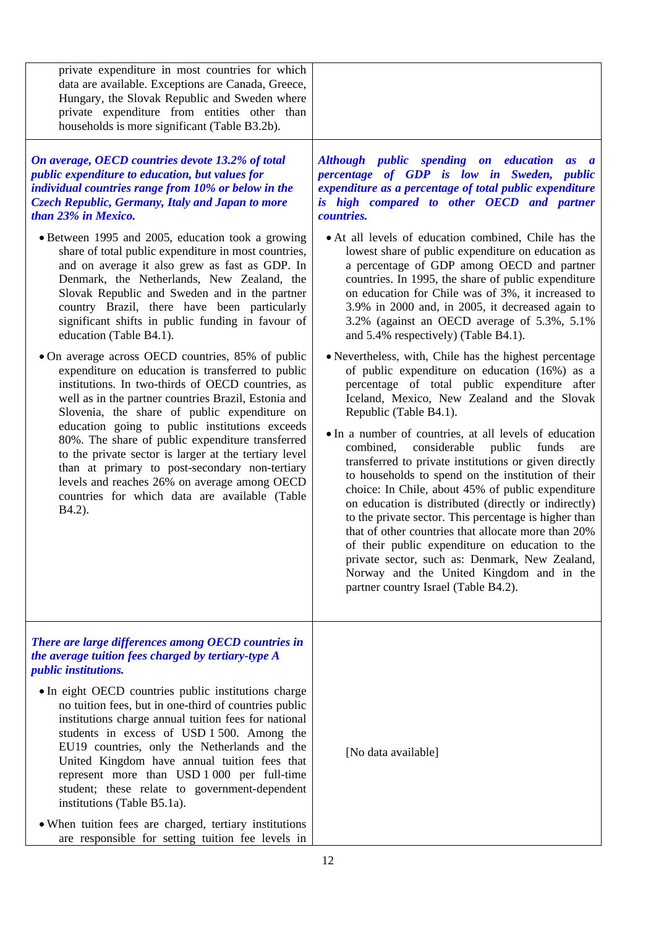| private expenditure in most countries for which<br>data are available. Exceptions are Canada, Greece,<br>Hungary, the Slovak Republic and Sweden where<br>private expenditure from entities other than<br>households is more significant (Table B3.2b).                                                                                                                                                                                                                                                                                                                                         |                                                                                                                                                                                                                                                                                                                                                                                                                                                                                                                                                                                                                                                                                                                                                                                                                                                                                        |
|-------------------------------------------------------------------------------------------------------------------------------------------------------------------------------------------------------------------------------------------------------------------------------------------------------------------------------------------------------------------------------------------------------------------------------------------------------------------------------------------------------------------------------------------------------------------------------------------------|----------------------------------------------------------------------------------------------------------------------------------------------------------------------------------------------------------------------------------------------------------------------------------------------------------------------------------------------------------------------------------------------------------------------------------------------------------------------------------------------------------------------------------------------------------------------------------------------------------------------------------------------------------------------------------------------------------------------------------------------------------------------------------------------------------------------------------------------------------------------------------------|
| On average, OECD countries devote 13.2% of total<br><i>public expenditure to education, but values for</i><br>individual countries range from 10% or below in the<br><b>Czech Republic, Germany, Italy and Japan to more</b><br>than 23% in Mexico.                                                                                                                                                                                                                                                                                                                                             | Although public spending on education<br>as a<br>percentage of GDP is low in Sweden, public<br>expenditure as a percentage of total public expenditure<br>is high compared to other OECD and partner<br><i>countries.</i>                                                                                                                                                                                                                                                                                                                                                                                                                                                                                                                                                                                                                                                              |
| • Between 1995 and 2005, education took a growing<br>share of total public expenditure in most countries,<br>and on average it also grew as fast as GDP. In<br>Denmark, the Netherlands, New Zealand, the<br>Slovak Republic and Sweden and in the partner<br>country Brazil, there have been particularly<br>significant shifts in public funding in favour of<br>education (Table B4.1).                                                                                                                                                                                                      | • At all levels of education combined, Chile has the<br>lowest share of public expenditure on education as<br>a percentage of GDP among OECD and partner<br>countries. In 1995, the share of public expenditure<br>on education for Chile was of 3%, it increased to<br>3.9% in 2000 and, in 2005, it decreased again to<br>3.2% (against an OECD average of 5.3%, 5.1%<br>and 5.4% respectively) (Table B4.1).                                                                                                                                                                                                                                                                                                                                                                                                                                                                        |
| • On average across OECD countries, 85% of public<br>expenditure on education is transferred to public<br>institutions. In two-thirds of OECD countries, as<br>well as in the partner countries Brazil, Estonia and<br>Slovenia, the share of public expenditure on<br>education going to public institutions exceeds<br>80%. The share of public expenditure transferred<br>to the private sector is larger at the tertiary level<br>than at primary to post-secondary non-tertiary<br>levels and reaches 26% on average among OECD<br>countries for which data are available (Table<br>B4.2). | • Nevertheless, with, Chile has the highest percentage<br>of public expenditure on education (16%) as a<br>percentage of total public expenditure after<br>Iceland, Mexico, New Zealand and the Slovak<br>Republic (Table B4.1).<br>• In a number of countries, at all levels of education<br>combined,<br>considerable<br>public<br>funds<br>are<br>transferred to private institutions or given directly<br>to households to spend on the institution of their<br>choice: In Chile, about 45% of public expenditure<br>on education is distributed (directly or indirectly)<br>to the private sector. This percentage is higher than<br>that of other countries that allocate more than 20%<br>of their public expenditure on education to the<br>private sector, such as: Denmark, New Zealand,<br>Norway and the United Kingdom and in the<br>partner country Israel (Table B4.2). |
| There are large differences among OECD countries in<br>the average tuition fees charged by tertiary-type A<br><i>public institutions.</i>                                                                                                                                                                                                                                                                                                                                                                                                                                                       |                                                                                                                                                                                                                                                                                                                                                                                                                                                                                                                                                                                                                                                                                                                                                                                                                                                                                        |
| • In eight OECD countries public institutions charge<br>no tuition fees, but in one-third of countries public<br>institutions charge annual tuition fees for national<br>students in excess of USD 1 500. Among the<br>EU19 countries, only the Netherlands and the<br>United Kingdom have annual tuition fees that<br>represent more than USD 1 000 per full-time<br>student; these relate to government-dependent<br>institutions (Table B5.1a).<br>• When tuition fees are charged, tertiary institutions                                                                                    | [No data available]                                                                                                                                                                                                                                                                                                                                                                                                                                                                                                                                                                                                                                                                                                                                                                                                                                                                    |
| are responsible for setting tuition fee levels in                                                                                                                                                                                                                                                                                                                                                                                                                                                                                                                                               |                                                                                                                                                                                                                                                                                                                                                                                                                                                                                                                                                                                                                                                                                                                                                                                                                                                                                        |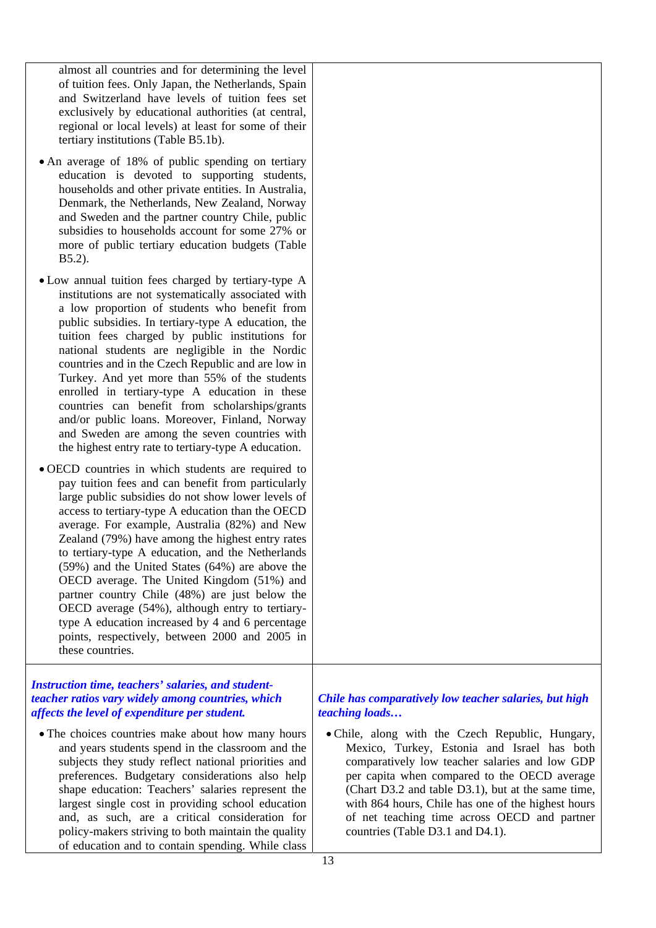almost all countries and for determining the level of tuition fees. Only Japan, the Netherlands, Spain and Switzerland have levels of tuition fees set exclusively by educational authorities (at central, regional or local levels) at least for some of their tertiary institutions (Table B5.1b).

- An average of 18% of public spending on tertiary education is devoted to supporting students, households and other private entities. In Australia, Denmark, the Netherlands, New Zealand, Norway and Sweden and the partner country Chile, public subsidies to households account for some 27% or more of public tertiary education budgets (Table B5.2).
- Low annual tuition fees charged by tertiary-type A institutions are not systematically associated with a low proportion of students who benefit from public subsidies. In tertiary-type A education, the tuition fees charged by public institutions for national students are negligible in the Nordic countries and in the Czech Republic and are low in Turkey. And yet more than 55% of the students enrolled in tertiary-type A education in these countries can benefit from scholarships/grants and/or public loans. Moreover, Finland, Norway and Sweden are among the seven countries with the highest entry rate to tertiary-type A education.
- OECD countries in which students are required to pay tuition fees and can benefit from particularly large public subsidies do not show lower levels of access to tertiary-type A education than the OECD average. For example, Australia (82%) and New Zealand (79%) have among the highest entry rates to tertiary-type A education, and the Netherlands (59%) and the United States (64%) are above the OECD average. The United Kingdom (51%) and partner country Chile (48%) are just below the OECD average (54%), although entry to tertiarytype A education increased by 4 and 6 percentage points, respectively, between 2000 and 2005 in these countries.

#### *Instruction time, teachers' salaries, and studentteacher ratios vary widely among countries, which affects the level of expenditure per student.*

• The choices countries make about how many hours and years students spend in the classroom and the subjects they study reflect national priorities and preferences. Budgetary considerations also help shape education: Teachers' salaries represent the largest single cost in providing school education and, as such, are a critical consideration for policy-makers striving to both maintain the quality of education and to contain spending. While class

#### *Chile has comparatively low teacher salaries, but high teaching loads…*

• Chile, along with the Czech Republic, Hungary, Mexico, Turkey, Estonia and Israel has both comparatively low teacher salaries and low GDP per capita when compared to the OECD average (Chart D3.2 and table D3.1), but at the same time, with 864 hours, Chile has one of the highest hours of net teaching time across OECD and partner countries (Table D3.1 and D4.1).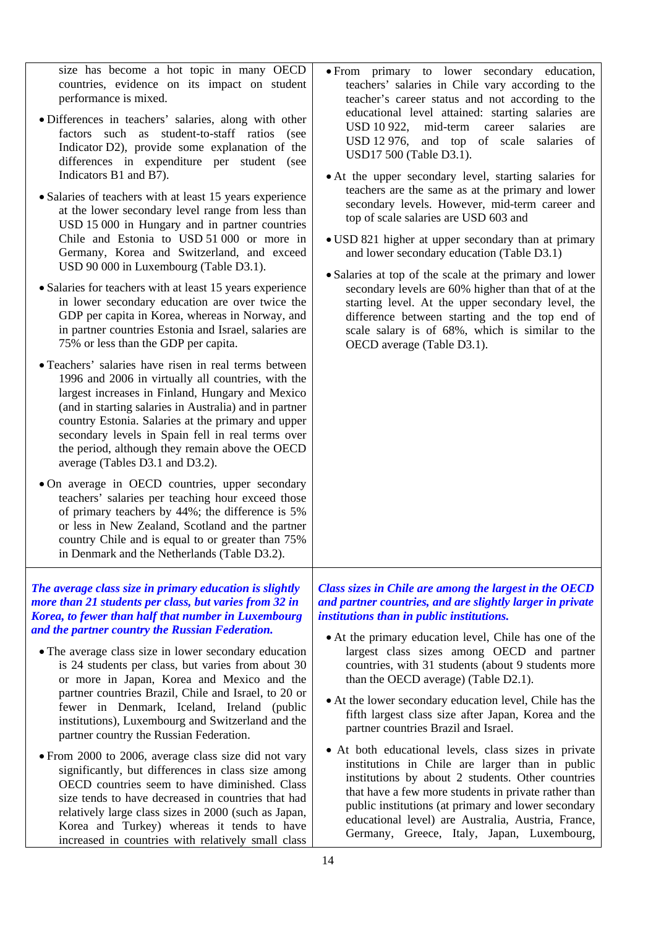size has become a hot topic in many OECD countries, evidence on its impact on student performance is mixed.

- Differences in teachers' salaries, along with other factors such as student-to-staff ratios (see Indicator D2), provide some explanation of the differences in expenditure per student (see Indicators B1 and B7).
- Salaries of teachers with at least 15 years experience at the lower secondary level range from less than USD 15 000 in Hungary and in partner countries Chile and Estonia to USD 51 000 or more in Germany, Korea and Switzerland, and exceed USD 90 000 in Luxembourg (Table D3.1).
- Salaries for teachers with at least 15 years experience in lower secondary education are over twice the GDP per capita in Korea, whereas in Norway, and in partner countries Estonia and Israel, salaries are 75% or less than the GDP per capita.
- Teachers' salaries have risen in real terms between 1996 and 2006 in virtually all countries, with the largest increases in Finland, Hungary and Mexico (and in starting salaries in Australia) and in partner country Estonia. Salaries at the primary and upper secondary levels in Spain fell in real terms over the period, although they remain above the OECD average (Tables D3.1 and D3.2).
- On average in OECD countries, upper secondary teachers' salaries per teaching hour exceed those of primary teachers by 44%; the difference is 5% or less in New Zealand, Scotland and the partner country Chile and is equal to or greater than 75% in Denmark and the Netherlands (Table D3.2).

*The average class size in primary education is slightly more than 21 students per class, but varies from 32 in Korea, to fewer than half that number in Luxembourg and the partner country the Russian Federation.* 

- The average class size in lower secondary education is 24 students per class, but varies from about 30 or more in Japan, Korea and Mexico and the partner countries Brazil, Chile and Israel, to 20 or fewer in Denmark, Iceland, Ireland (public institutions), Luxembourg and Switzerland and the partner country the Russian Federation.
- From 2000 to 2006, average class size did not vary significantly, but differences in class size among OECD countries seem to have diminished. Class size tends to have decreased in countries that had relatively large class sizes in 2000 (such as Japan, Korea and Turkey) whereas it tends to have increased in countries with relatively small class

• From primary to lower secondary education, teachers' salaries in Chile vary according to the teacher's career status and not according to the educational level attained: starting salaries are USD 10 922, mid-term career salaries are USD 12 976, and top of scale salaries of USD17 500 (Table D3.1).

- At the upper secondary level, starting salaries for teachers are the same as at the primary and lower secondary levels. However, mid-term career and top of scale salaries are USD 603 and
- USD 821 higher at upper secondary than at primary and lower secondary education (Table D3.1)
- Salaries at top of the scale at the primary and lower secondary levels are 60% higher than that of at the starting level. At the upper secondary level, the difference between starting and the top end of scale salary is of 68%, which is similar to the OECD average (Table D3.1).

*Class sizes in Chile are among the largest in the OECD and partner countries, and are slightly larger in private institutions than in public institutions.* 

- At the primary education level, Chile has one of the largest class sizes among OECD and partner countries, with 31 students (about 9 students more than the OECD average) (Table D2.1).
- At the lower secondary education level, Chile has the fifth largest class size after Japan, Korea and the partner countries Brazil and Israel.
- At both educational levels, class sizes in private institutions in Chile are larger than in public institutions by about 2 students. Other countries that have a few more students in private rather than public institutions (at primary and lower secondary educational level) are Australia, Austria, France, Germany, Greece, Italy, Japan, Luxembourg,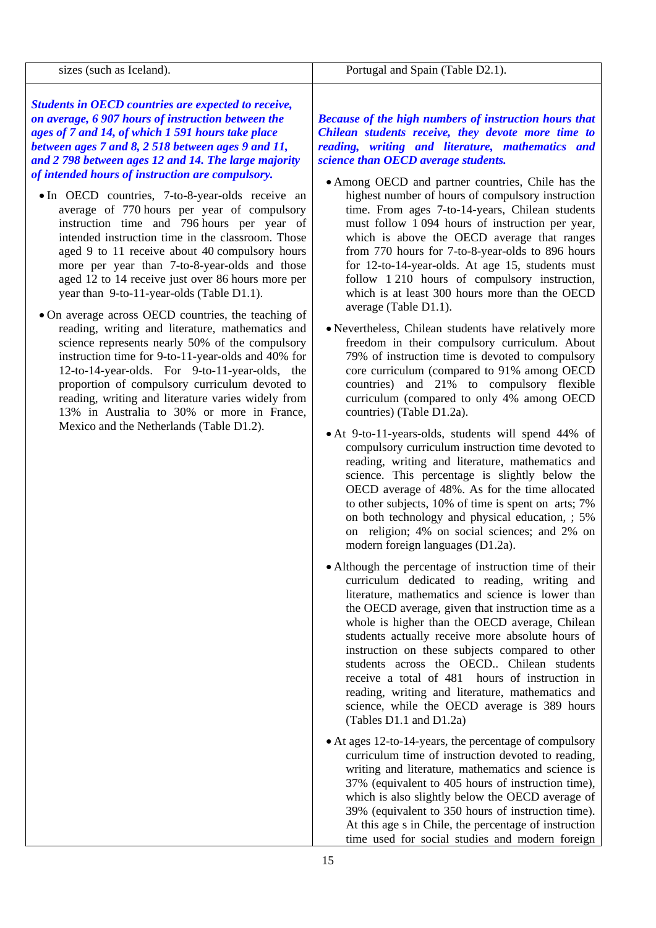| sizes (such as Iceland).                                                                                                                                                                                                                                                                                                                                                                                                                                                                                                                                                                                                                                                                                                                                                                                                                                                                                                                                                                                                                                                                                                                                                                                            | Portugal and Spain (Table D2.1).                                                                                                                                                                                                                                                                                                                                                                                                                                                                                                                                                                                                                                                                                                                                                                                                                                                                                                                                                                                                                      |
|---------------------------------------------------------------------------------------------------------------------------------------------------------------------------------------------------------------------------------------------------------------------------------------------------------------------------------------------------------------------------------------------------------------------------------------------------------------------------------------------------------------------------------------------------------------------------------------------------------------------------------------------------------------------------------------------------------------------------------------------------------------------------------------------------------------------------------------------------------------------------------------------------------------------------------------------------------------------------------------------------------------------------------------------------------------------------------------------------------------------------------------------------------------------------------------------------------------------|-------------------------------------------------------------------------------------------------------------------------------------------------------------------------------------------------------------------------------------------------------------------------------------------------------------------------------------------------------------------------------------------------------------------------------------------------------------------------------------------------------------------------------------------------------------------------------------------------------------------------------------------------------------------------------------------------------------------------------------------------------------------------------------------------------------------------------------------------------------------------------------------------------------------------------------------------------------------------------------------------------------------------------------------------------|
| Students in OECD countries are expected to receive,<br>on average, 6 907 hours of instruction between the<br>ages of 7 and 14, of which 1 591 hours take place<br>between ages 7 and 8, 2 518 between ages 9 and 11,<br>and 2 798 between ages 12 and 14. The large majority<br>of intended hours of instruction are compulsory.<br>• In OECD countries, 7-to-8-year-olds receive an<br>average of 770 hours per year of compulsory<br>instruction time and 796 hours per year of<br>intended instruction time in the classroom. Those<br>aged 9 to 11 receive about 40 compulsory hours<br>more per year than 7-to-8-year-olds and those<br>aged 12 to 14 receive just over 86 hours more per<br>year than 9-to-11-year-olds (Table D1.1).<br>• On average across OECD countries, the teaching of<br>reading, writing and literature, mathematics and<br>science represents nearly 50% of the compulsory<br>instruction time for 9-to-11-year-olds and 40% for<br>12-to-14-year-olds. For 9-to-11-year-olds, the<br>proportion of compulsory curriculum devoted to<br>reading, writing and literature varies widely from<br>13% in Australia to 30% or more in France,<br>Mexico and the Netherlands (Table D1.2). | <b>Because of the high numbers of instruction hours that</b><br>Chilean students receive, they devote more time to<br>reading, writing and literature, mathematics and<br>science than OECD average students.<br>• Among OECD and partner countries, Chile has the<br>highest number of hours of compulsory instruction<br>time. From ages 7-to-14-years, Chilean students<br>must follow 1 094 hours of instruction per year,<br>which is above the OECD average that ranges<br>from 770 hours for 7-to-8-year-olds to 896 hours<br>for 12-to-14-year-olds. At age 15, students must<br>follow 1210 hours of compulsory instruction,<br>which is at least 300 hours more than the OECD<br>average (Table D1.1).<br>• Nevertheless, Chilean students have relatively more<br>freedom in their compulsory curriculum. About<br>79% of instruction time is devoted to compulsory<br>core curriculum (compared to 91% among OECD<br>countries) and 21% to compulsory flexible<br>curriculum (compared to only 4% among OECD<br>countries) (Table D1.2a). |
|                                                                                                                                                                                                                                                                                                                                                                                                                                                                                                                                                                                                                                                                                                                                                                                                                                                                                                                                                                                                                                                                                                                                                                                                                     | • At 9-to-11-years-olds, students will spend 44% of<br>compulsory curriculum instruction time devoted to<br>reading, writing and literature, mathematics and<br>science. This percentage is slightly below the<br>OECD average of 48%. As for the time allocated<br>to other subjects, 10% of time is spent on arts; 7%<br>on both technology and physical education, ; 5%<br>on religion; 4% on social sciences; and 2% on<br>modern foreign languages (D1.2a).                                                                                                                                                                                                                                                                                                                                                                                                                                                                                                                                                                                      |
|                                                                                                                                                                                                                                                                                                                                                                                                                                                                                                                                                                                                                                                                                                                                                                                                                                                                                                                                                                                                                                                                                                                                                                                                                     | • Although the percentage of instruction time of their<br>curriculum dedicated to reading, writing and<br>literature, mathematics and science is lower than<br>the OECD average, given that instruction time as a<br>whole is higher than the OECD average, Chilean<br>students actually receive more absolute hours of<br>instruction on these subjects compared to other<br>students across the OECD Chilean students<br>receive a total of 481 hours of instruction in<br>reading, writing and literature, mathematics and<br>science, while the OECD average is 389 hours                                                                                                                                                                                                                                                                                                                                                                                                                                                                         |

• At ages 12-to-14-years, the percentage of compulsory curriculum time of instruction devoted to reading, writing and literature, mathematics and science is 37% (equivalent to 405 hours of instruction time), which is also slightly below the OECD average of 39% (equivalent to 350 hours of instruction time). At this age s in Chile, the percentage of instruction time used for social studies and modern foreign

(Tables D1.1 and D1.2a)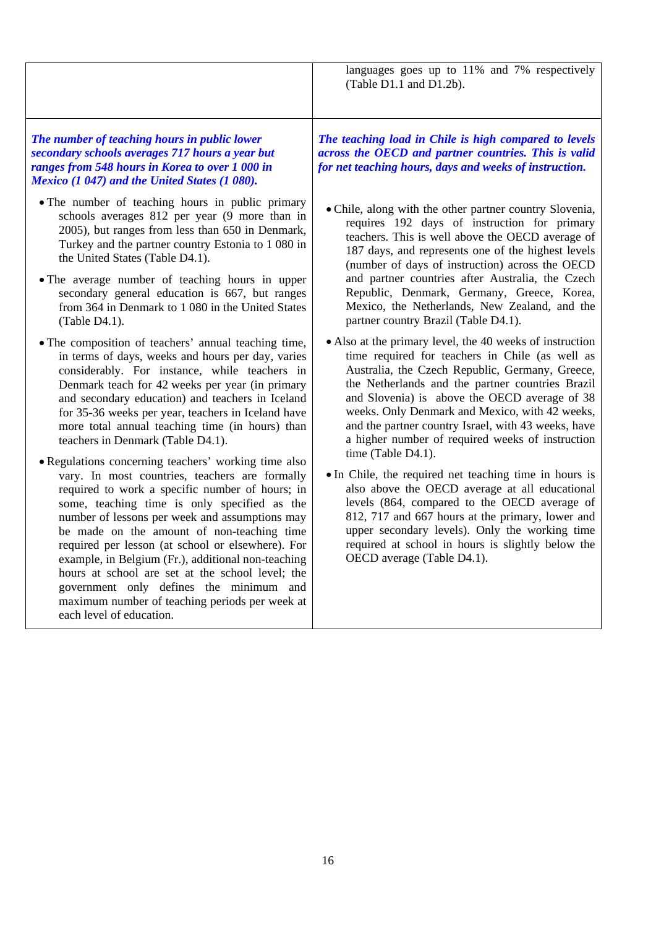languages goes up to 11% and 7% respectively (Table D1.1 and D1.2b).

#### *The number of teaching hours in public lower secondary schools averages 717 hours a year but ranges from 548 hours in Korea to over 1 000 in Mexico (1 047) and the United States (1 080).*

- The number of teaching hours in public primary schools averages 812 per year (9 more than in 2005), but ranges from less than 650 in Denmark, Turkey and the partner country Estonia to 1 080 in the United States (Table D4.1).
- The average number of teaching hours in upper secondary general education is 667, but ranges from 364 in Denmark to 1 080 in the United States (Table D4.1).
- The composition of teachers' annual teaching time, in terms of days, weeks and hours per day, varies considerably. For instance, while teachers in Denmark teach for 42 weeks per year (in primary and secondary education) and teachers in Iceland for 35-36 weeks per year, teachers in Iceland have more total annual teaching time (in hours) than teachers in Denmark (Table D4.1).
- Regulations concerning teachers' working time also vary. In most countries, teachers are formally required to work a specific number of hours; in some, teaching time is only specified as the number of lessons per week and assumptions may be made on the amount of non-teaching time required per lesson (at school or elsewhere). For example, in Belgium (Fr.), additional non-teaching hours at school are set at the school level; the government only defines the minimum and maximum number of teaching periods per week at each level of education.

*The teaching load in Chile is high compared to levels across the OECD and partner countries. This is valid for net teaching hours, days and weeks of instruction.* 

- Chile, along with the other partner country Slovenia, requires 192 days of instruction for primary teachers. This is well above the OECD average of 187 days, and represents one of the highest levels (number of days of instruction) across the OECD and partner countries after Australia, the Czech Republic, Denmark, Germany, Greece, Korea, Mexico, the Netherlands, New Zealand, and the partner country Brazil (Table D4.1).
- Also at the primary level, the 40 weeks of instruction time required for teachers in Chile (as well as Australia, the Czech Republic, Germany, Greece, the Netherlands and the partner countries Brazil and Slovenia) is above the OECD average of 38 weeks. Only Denmark and Mexico, with 42 weeks, and the partner country Israel, with 43 weeks, have a higher number of required weeks of instruction time (Table D4.1).
- In Chile, the required net teaching time in hours is also above the OECD average at all educational levels (864, compared to the OECD average of 812, 717 and 667 hours at the primary, lower and upper secondary levels). Only the working time required at school in hours is slightly below the OECD average (Table D4.1).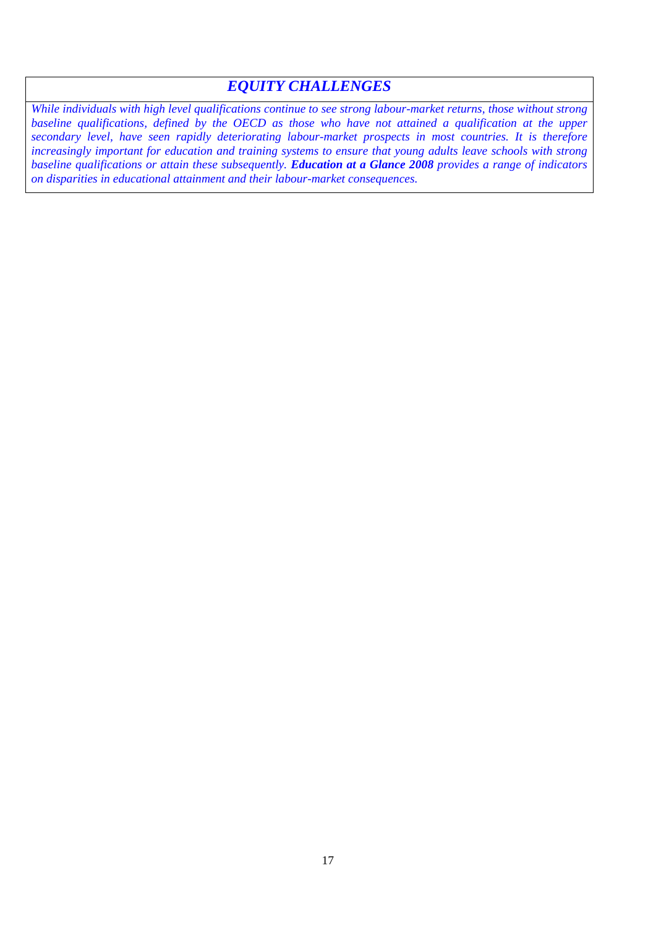### *EQUITY CHALLENGES*

*While individuals with high level qualifications continue to see strong labour-market returns, those without strong*  baseline qualifications, defined by the OECD as those who have not attained a qualification at the upper *secondary level, have seen rapidly deteriorating labour-market prospects in most countries. It is therefore increasingly important for education and training systems to ensure that young adults leave schools with strong baseline qualifications or attain these subsequently. Education at a Glance 2008 provides a range of indicators on disparities in educational attainment and their labour-market consequences.*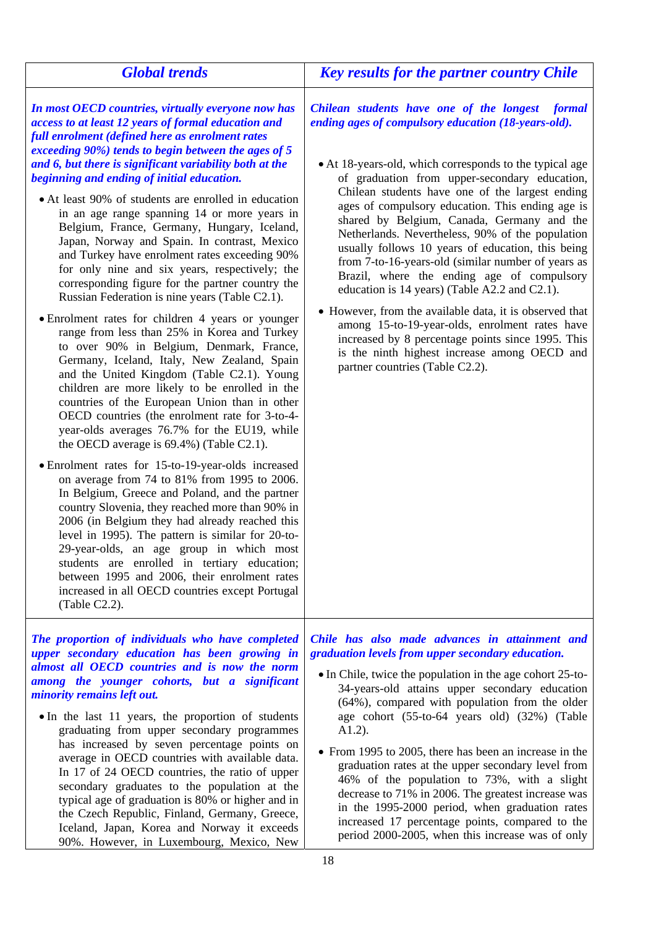| <b>Global trends</b>                                                                                                                                                                                                                                                                                                                                                                                                                                                                                                                                                                                                                                                                                                                                                                                                                                                                                                                                                                                                                                                                                                                                                                                                                                                                                                                                                                                                                                                                                                                                                                                                                                                                                                                                                              | <b>Key results for the partner country Chile</b>                                                                                                                                                                                                                                                                                                                                                                                                                                                                                                                                                                                                                                                                                                                                                                                                                                              |
|-----------------------------------------------------------------------------------------------------------------------------------------------------------------------------------------------------------------------------------------------------------------------------------------------------------------------------------------------------------------------------------------------------------------------------------------------------------------------------------------------------------------------------------------------------------------------------------------------------------------------------------------------------------------------------------------------------------------------------------------------------------------------------------------------------------------------------------------------------------------------------------------------------------------------------------------------------------------------------------------------------------------------------------------------------------------------------------------------------------------------------------------------------------------------------------------------------------------------------------------------------------------------------------------------------------------------------------------------------------------------------------------------------------------------------------------------------------------------------------------------------------------------------------------------------------------------------------------------------------------------------------------------------------------------------------------------------------------------------------------------------------------------------------|-----------------------------------------------------------------------------------------------------------------------------------------------------------------------------------------------------------------------------------------------------------------------------------------------------------------------------------------------------------------------------------------------------------------------------------------------------------------------------------------------------------------------------------------------------------------------------------------------------------------------------------------------------------------------------------------------------------------------------------------------------------------------------------------------------------------------------------------------------------------------------------------------|
| In most OECD countries, virtually everyone now has<br>access to at least 12 years of formal education and<br>full enrolment (defined here as enrolment rates<br>exceeding 90%) tends to begin between the ages of 5<br>and 6, but there is significant variability both at the<br>beginning and ending of initial education.<br>• At least 90% of students are enrolled in education<br>in an age range spanning 14 or more years in<br>Belgium, France, Germany, Hungary, Iceland,<br>Japan, Norway and Spain. In contrast, Mexico<br>and Turkey have enrolment rates exceeding 90%<br>for only nine and six years, respectively; the<br>corresponding figure for the partner country the<br>Russian Federation is nine years (Table C2.1).<br>• Enrolment rates for children 4 years or younger<br>range from less than 25% in Korea and Turkey<br>to over 90% in Belgium, Denmark, France,<br>Germany, Iceland, Italy, New Zealand, Spain<br>and the United Kingdom (Table C2.1). Young<br>children are more likely to be enrolled in the<br>countries of the European Union than in other<br>OECD countries (the enrolment rate for 3-to-4-<br>year-olds averages 76.7% for the EU19, while<br>the OECD average is $69.4\%$ ) (Table C2.1).<br>• Enrolment rates for 15-to-19-year-olds increased<br>on average from 74 to 81% from 1995 to 2006.<br>In Belgium, Greece and Poland, and the partner<br>country Slovenia, they reached more than 90% in<br>2006 (in Belgium they had already reached this<br>level in 1995). The pattern is similar for 20-to-<br>29-year-olds, an age group in which most<br>students are enrolled in tertiary education;<br>between 1995 and 2006, their enrolment rates<br>increased in all OECD countries except Portugal<br>(Table C2.2). | Chilean students have one of the longest<br>formal<br>ending ages of compulsory education (18-years-old).<br>• At 18-years-old, which corresponds to the typical age<br>of graduation from upper-secondary education,<br>Chilean students have one of the largest ending<br>ages of compulsory education. This ending age is<br>shared by Belgium, Canada, Germany and the<br>Netherlands. Nevertheless, 90% of the population<br>usually follows 10 years of education, this being<br>from 7-to-16-years-old (similar number of years as<br>Brazil, where the ending age of compulsory<br>education is 14 years) (Table A2.2 and C2.1).<br>• However, from the available data, it is observed that<br>among 15-to-19-year-olds, enrolment rates have<br>increased by 8 percentage points since 1995. This<br>is the ninth highest increase among OECD and<br>partner countries (Table C2.2). |
| The proportion of individuals who have completed<br>upper secondary education has been growing in<br>almost all OECD countries and is now the norm<br>among the younger cohorts, but a significant<br>minority remains left out.<br>• In the last 11 years, the proportion of students<br>graduating from upper secondary programmes<br>has increased by seven percentage points on<br>average in OECD countries with available data.<br>In 17 of 24 OECD countries, the ratio of upper<br>secondary graduates to the population at the<br>typical age of graduation is 80% or higher and in<br>the Czech Republic, Finland, Germany, Greece,<br>Iceland, Japan, Korea and Norway it exceeds<br>90%. However, in Luxembourg, Mexico, New                                                                                                                                                                                                                                                                                                                                                                                                                                                                                                                                                                                                                                                                                                                                                                                                                                                                                                                                                                                                                                          | Chile has also made advances in attainment and<br>graduation levels from upper secondary education.<br>• In Chile, twice the population in the age cohort 25-to-<br>34-years-old attains upper secondary education<br>(64%), compared with population from the older<br>age cohort (55-to-64 years old) (32%) (Table<br>$A1.2$ ).<br>• From 1995 to 2005, there has been an increase in the<br>graduation rates at the upper secondary level from<br>46% of the population to 73%, with a slight<br>decrease to 71% in 2006. The greatest increase was<br>in the 1995-2000 period, when graduation rates<br>increased 17 percentage points, compared to the<br>period 2000-2005, when this increase was of only                                                                                                                                                                               |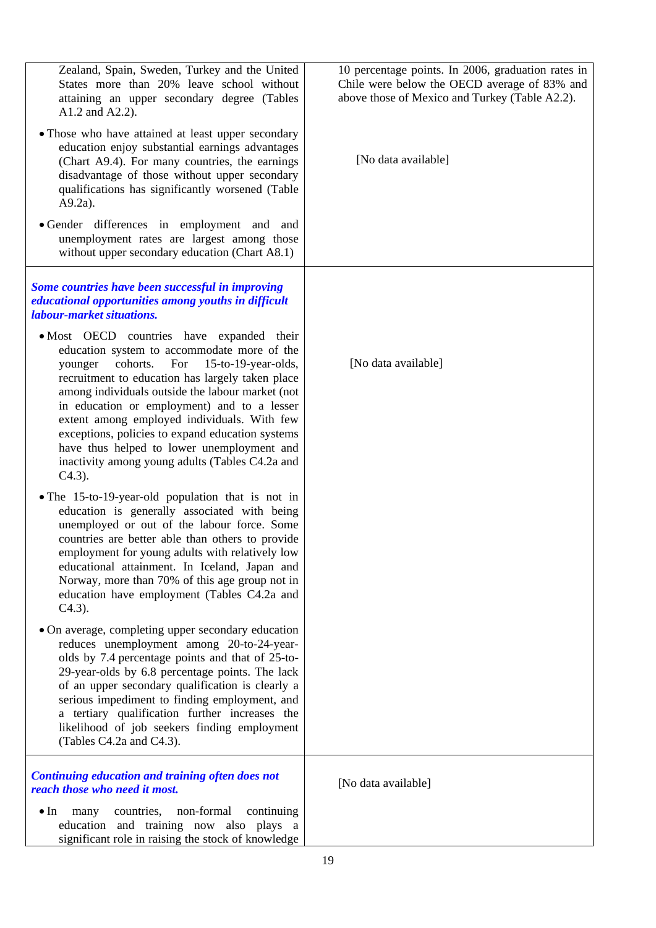| Zealand, Spain, Sweden, Turkey and the United<br>States more than 20% leave school without<br>attaining an upper secondary degree (Tables<br>A1.2 and A2.2).                                                                                                                                                                                                                                                                                                                                                       | 10 percentage points. In 2006, graduation rates in<br>Chile were below the OECD average of 83% and<br>above those of Mexico and Turkey (Table A2.2). |
|--------------------------------------------------------------------------------------------------------------------------------------------------------------------------------------------------------------------------------------------------------------------------------------------------------------------------------------------------------------------------------------------------------------------------------------------------------------------------------------------------------------------|------------------------------------------------------------------------------------------------------------------------------------------------------|
| • Those who have attained at least upper secondary<br>education enjoy substantial earnings advantages<br>(Chart A9.4). For many countries, the earnings<br>disadvantage of those without upper secondary<br>qualifications has significantly worsened (Table<br>$A9.2a$ ).                                                                                                                                                                                                                                         | [No data available]                                                                                                                                  |
| • Gender differences in employment and and<br>unemployment rates are largest among those<br>without upper secondary education (Chart A8.1)                                                                                                                                                                                                                                                                                                                                                                         |                                                                                                                                                      |
| Some countries have been successful in improving<br>educational opportunities among youths in difficult<br><i>labour-market situations.</i>                                                                                                                                                                                                                                                                                                                                                                        |                                                                                                                                                      |
| • Most OECD countries have expanded their<br>education system to accommodate more of the<br>cohorts.<br>For 15-to-19-year-olds,<br>younger<br>recruitment to education has largely taken place<br>among individuals outside the labour market (not<br>in education or employment) and to a lesser<br>extent among employed individuals. With few<br>exceptions, policies to expand education systems<br>have thus helped to lower unemployment and<br>inactivity among young adults (Tables C4.2a and<br>$C4.3$ ). | [No data available]                                                                                                                                  |
| • The 15-to-19-year-old population that is not in<br>education is generally associated with being<br>unemployed or out of the labour force. Some<br>countries are better able than others to provide<br>employment for young adults with relatively low<br>educational attainment. In Iceland, Japan and<br>Norway, more than 70% of this age group not in<br>education have employment (Tables C4.2a and<br>$C4.3$ ).                                                                                             |                                                                                                                                                      |
| • On average, completing upper secondary education<br>reduces unemployment among 20-to-24-year-<br>olds by 7.4 percentage points and that of 25-to-<br>29-year-olds by 6.8 percentage points. The lack<br>of an upper secondary qualification is clearly a<br>serious impediment to finding employment, and<br>a tertiary qualification further increases the<br>likelihood of job seekers finding employment<br>(Tables C4.2a and C4.3).                                                                          |                                                                                                                                                      |
| Continuing education and training often does not<br>reach those who need it most.                                                                                                                                                                                                                                                                                                                                                                                                                                  | [No data available]                                                                                                                                  |
| non-formal<br>$\bullet$ In<br>countries,<br>continuing<br>many<br>education and training now also plays a<br>significant role in raising the stock of knowledge                                                                                                                                                                                                                                                                                                                                                    |                                                                                                                                                      |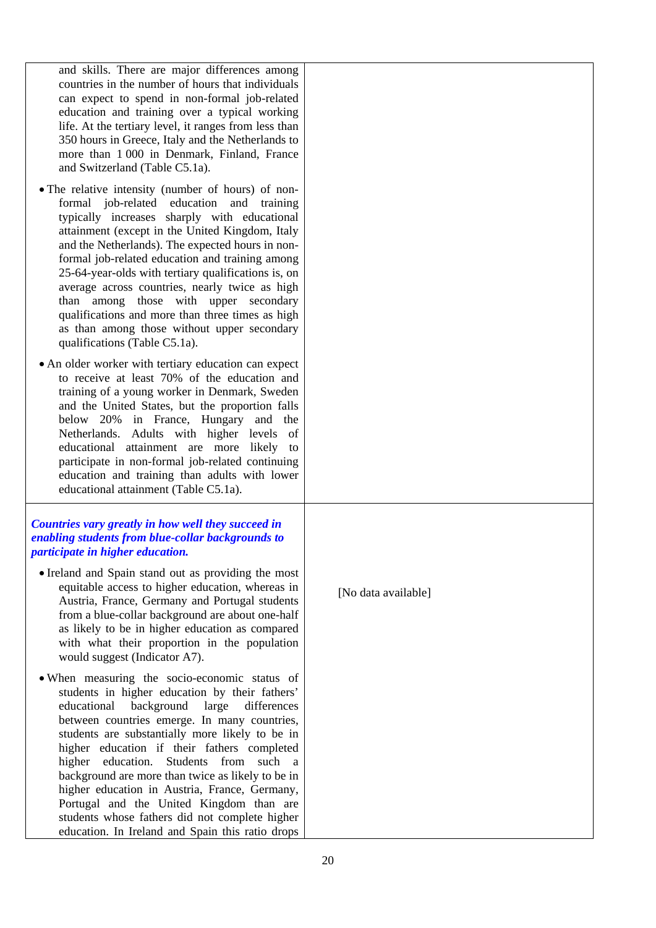| and skills. There are major differences among         |
|-------------------------------------------------------|
| countries in the number of hours that individuals     |
| can expect to spend in non-formal job-related         |
| education and training over a typical working         |
| life. At the tertiary level, it ranges from less than |
| 350 hours in Greece, Italy and the Netherlands to     |
| more than 1 000 in Denmark, Finland, France           |
| and Switzerland (Table C5.1a).                        |
|                                                       |

- The relative intensity (number of hours) of nonformal job-related education and training typically increases sharply with educational attainment (except in the United Kingdom, Italy and the Netherlands). The expected hours in nonformal job-related education and training among 25-64-year-olds with tertiary qualifications is, on average across countries, nearly twice as high than among those with upper secondary qualifications and more than three times as high as than among those without upper secondary qualifications (Table C5.1a).
- An older worker with tertiary education can expect to receive at least 70% of the education and training of a young worker in Denmark, Sweden and the United States, but the proportion falls below 20% in France, Hungary and the Netherlands. Adults with higher levels of educational attainment are more likely to participate in non-formal job-related continuing education and training than adults with lower educational attainment (Table C5.1a).

#### *Countries vary greatly in how well they succeed in enabling students from blue-collar backgrounds to participate in higher education.*

- Ireland and Spain stand out as providing the most equitable access to higher education, whereas in Austria, France, Germany and Portugal students from a blue-collar background are about one-half as likely to be in higher education as compared with what their proportion in the population would suggest (Indicator A7).
- When measuring the socio-economic status of students in higher education by their fathers' educational background large differences between countries emerge. In many countries, students are substantially more likely to be in higher education if their fathers completed higher education. Students from such a background are more than twice as likely to be in higher education in Austria, France, Germany, Portugal and the United Kingdom than are students whose fathers did not complete higher education. In Ireland and Spain this ratio drops

[No data available]